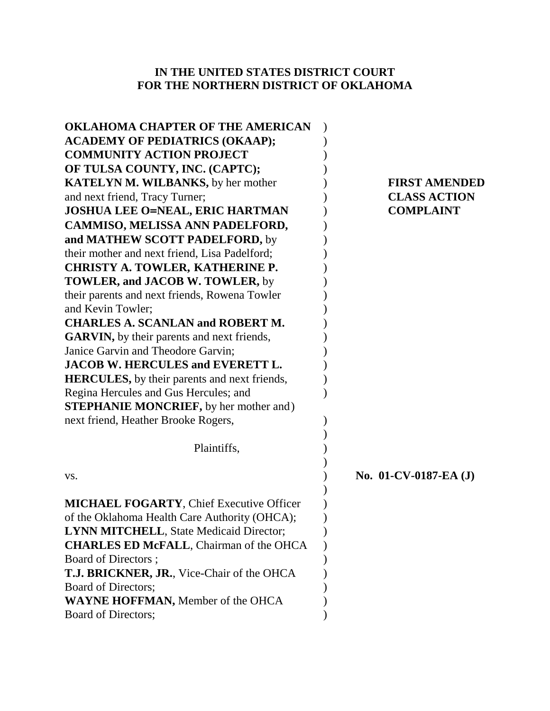# **IN THE UNITED STATES DISTRICT COURT FOR THE NORTHERN DISTRICT OF OKLAHOMA**

| <b>FIRST AMENDED</b>     |
|--------------------------|
| <b>CLASS ACTION</b>      |
| <b>COMPLAINT</b>         |
|                          |
|                          |
|                          |
|                          |
|                          |
|                          |
|                          |
|                          |
|                          |
|                          |
|                          |
|                          |
|                          |
|                          |
|                          |
|                          |
|                          |
|                          |
| No. $01$ -CV-0187-EA (J) |
|                          |
|                          |
|                          |
|                          |
|                          |
|                          |
|                          |
|                          |
|                          |
|                          |
|                          |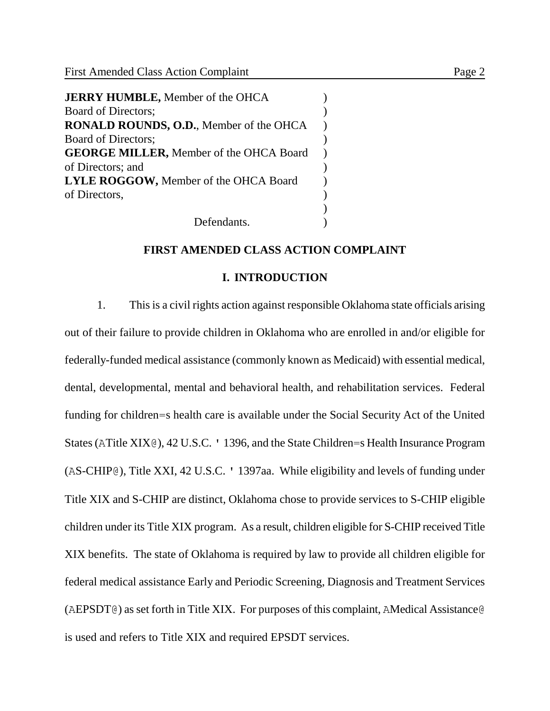| <b>JERRY HUMBLE, Member of the OHCA</b>        |  |
|------------------------------------------------|--|
| Board of Directors;                            |  |
| RONALD ROUNDS, O.D., Member of the OHCA        |  |
| Board of Directors;                            |  |
| <b>GEORGE MILLER, Member of the OHCA Board</b> |  |
| of Directors; and                              |  |
| <b>LYLE ROGGOW, Member of the OHCA Board</b>   |  |
| of Directors,                                  |  |
|                                                |  |
|                                                |  |

Defendants.

## **FIRST AMENDED CLASS ACTION COMPLAINT**

### **I. INTRODUCTION**

1. This is a civil rights action against responsible Oklahoma state officials arising out of their failure to provide children in Oklahoma who are enrolled in and/or eligible for federally-funded medical assistance (commonly known as Medicaid) with essential medical, dental, developmental, mental and behavioral health, and rehabilitation services. Federal funding for children=s health care is available under the Social Security Act of the United States (ATitle XIX@), 42 U.S.C. ' 1396, and the State Children=s Health Insurance Program (AS-CHIP@), Title XXI, 42 U.S.C. ' 1397aa. While eligibility and levels of funding under Title XIX and S-CHIP are distinct, Oklahoma chose to provide services to S-CHIP eligible children under its Title XIX program. As a result, children eligible for S-CHIP received Title XIX benefits. The state of Oklahoma is required by law to provide all children eligible for federal medical assistance Early and Periodic Screening, Diagnosis and Treatment Services (AEPSDT@) as set forth in Title XIX. For purposes of this complaint, AMedical Assistance@ is used and refers to Title XIX and required EPSDT services.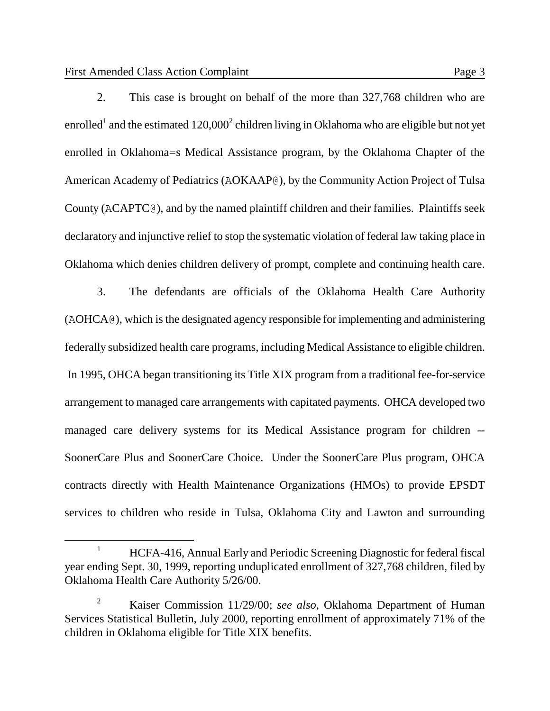$\overline{a}$ 

2. This case is brought on behalf of the more than 327,768 children who are enrolled<sup>1</sup> and the estimated 120,000<sup>2</sup> children living in Oklahoma who are eligible but not yet enrolled in Oklahoma=s Medical Assistance program, by the Oklahoma Chapter of the American Academy of Pediatrics (AOKAAP@), by the Community Action Project of Tulsa County (ACAPTC@), and by the named plaintiff children and their families. Plaintiffs seek declaratory and injunctive relief to stop the systematic violation of federal law taking place in Oklahoma which denies children delivery of prompt, complete and continuing health care.

3. The defendants are officials of the Oklahoma Health Care Authority (AOHCA@), which is the designated agency responsible for implementing and administering federally subsidized health care programs, including Medical Assistance to eligible children. In 1995, OHCA began transitioning its Title XIX program from a traditional fee-for-service arrangement to managed care arrangements with capitated payments. OHCA developed two managed care delivery systems for its Medical Assistance program for children -- SoonerCare Plus and SoonerCare Choice. Under the SoonerCare Plus program, OHCA contracts directly with Health Maintenance Organizations (HMOs) to provide EPSDT services to children who reside in Tulsa, Oklahoma City and Lawton and surrounding

<sup>&</sup>lt;sup>1</sup> HCFA-416, Annual Early and Periodic Screening Diagnostic for federal fiscal year ending Sept. 30, 1999, reporting unduplicated enrollment of 327,768 children, filed by Oklahoma Health Care Authority 5/26/00.

<sup>2</sup> Kaiser Commission 11/29/00; *see also*, Oklahoma Department of Human Services Statistical Bulletin, July 2000, reporting enrollment of approximately 71% of the children in Oklahoma eligible for Title XIX benefits.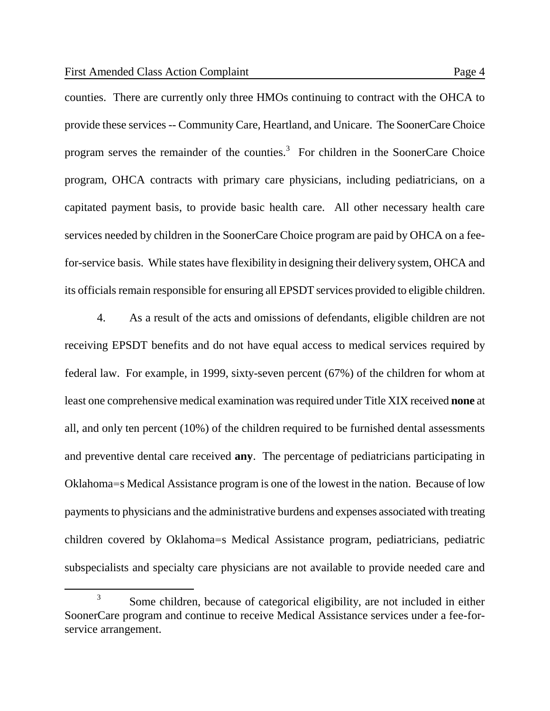$\overline{a}$ 

counties. There are currently only three HMOs continuing to contract with the OHCA to provide these services -- Community Care, Heartland, and Unicare. The SoonerCare Choice program serves the remainder of the counties.<sup>3</sup> For children in the SoonerCare Choice program, OHCA contracts with primary care physicians, including pediatricians, on a capitated payment basis, to provide basic health care. All other necessary health care services needed by children in the SoonerCare Choice program are paid by OHCA on a feefor-service basis. While states have flexibility in designing their delivery system, OHCA and its officials remain responsible for ensuring all EPSDT services provided to eligible children.

4. As a result of the acts and omissions of defendants, eligible children are not receiving EPSDT benefits and do not have equal access to medical services required by federal law. For example, in 1999, sixty-seven percent (67%) of the children for whom at least one comprehensive medical examination was required under Title XIX received **none** at all, and only ten percent (10%) of the children required to be furnished dental assessments and preventive dental care received **any**. The percentage of pediatricians participating in Oklahoma=s Medical Assistance program is one of the lowest in the nation. Because of low payments to physicians and the administrative burdens and expenses associated with treating children covered by Oklahoma=s Medical Assistance program, pediatricians, pediatric subspecialists and specialty care physicians are not available to provide needed care and

<sup>3</sup> Some children, because of categorical eligibility, are not included in either SoonerCare program and continue to receive Medical Assistance services under a fee-forservice arrangement.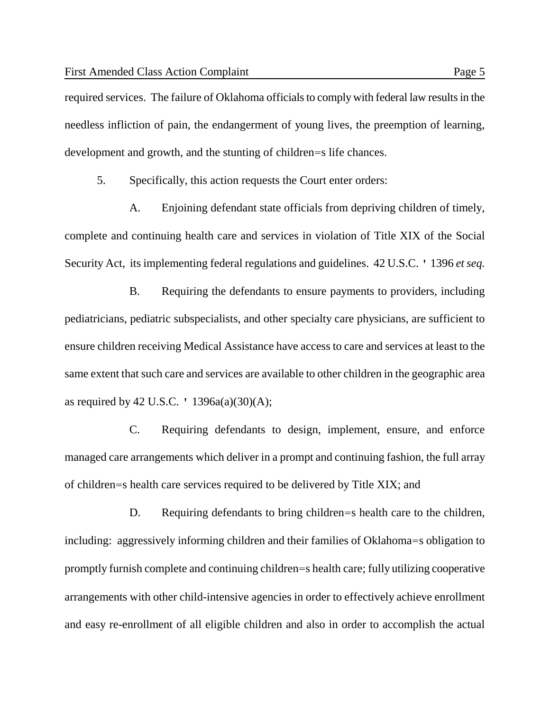required services. The failure of Oklahoma officials to comply with federal law results in the needless infliction of pain, the endangerment of young lives, the preemption of learning, development and growth, and the stunting of children=s life chances.

5. Specifically, this action requests the Court enter orders:

A. Enjoining defendant state officials from depriving children of timely, complete and continuing health care and services in violation of Title XIX of the Social Security Act, its implementing federal regulations and guidelines. 42 U.S.C. ' 1396 *et seq.*

B. Requiring the defendants to ensure payments to providers, including pediatricians, pediatric subspecialists, and other specialty care physicians, are sufficient to ensure children receiving Medical Assistance have access to care and services at least to the same extent that such care and services are available to other children in the geographic area as required by 42 U.S.C.  $'$  1396a(a)(30)(A);

C. Requiring defendants to design, implement, ensure, and enforce managed care arrangements which deliver in a prompt and continuing fashion, the full array of children=s health care services required to be delivered by Title XIX; and

D. Requiring defendants to bring children=s health care to the children, including: aggressively informing children and their families of Oklahoma=s obligation to promptly furnish complete and continuing children=s health care; fully utilizing cooperative arrangements with other child-intensive agencies in order to effectively achieve enrollment and easy re-enrollment of all eligible children and also in order to accomplish the actual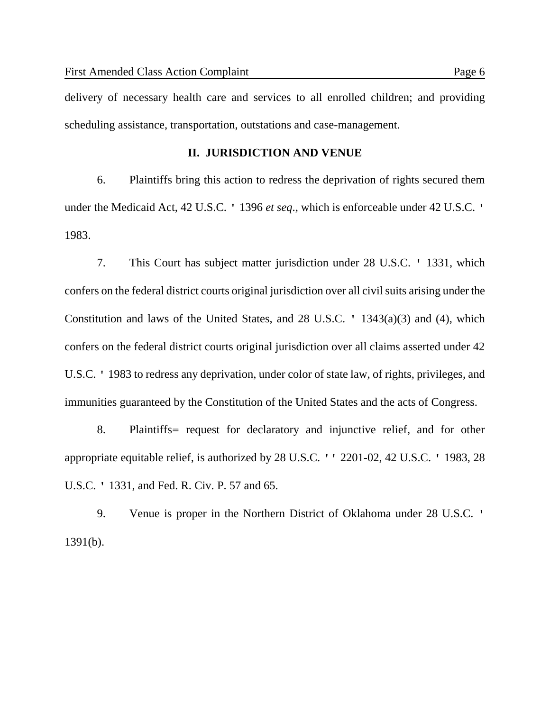delivery of necessary health care and services to all enrolled children; and providing scheduling assistance, transportation, outstations and case-management.

### **II. JURISDICTION AND VENUE**

6. Plaintiffs bring this action to redress the deprivation of rights secured them under the Medicaid Act, 42 U.S.C. ' 1396 *et seq*., which is enforceable under 42 U.S.C. ' 1983.

7. This Court has subject matter jurisdiction under 28 U.S.C. ' 1331, which confers on the federal district courts original jurisdiction over all civil suits arising under the Constitution and laws of the United States, and 28 U.S.C. ' 1343(a)(3) and (4), which confers on the federal district courts original jurisdiction over all claims asserted under 42 U.S.C. ' 1983 to redress any deprivation, under color of state law, of rights, privileges, and immunities guaranteed by the Constitution of the United States and the acts of Congress.

8. Plaintiffs= request for declaratory and injunctive relief, and for other appropriate equitable relief, is authorized by 28 U.S.C. '' 2201-02, 42 U.S.C. ' 1983, 28 U.S.C. ' 1331, and Fed. R. Civ. P. 57 and 65.

9. Venue is proper in the Northern District of Oklahoma under 28 U.S.C. ' 1391(b).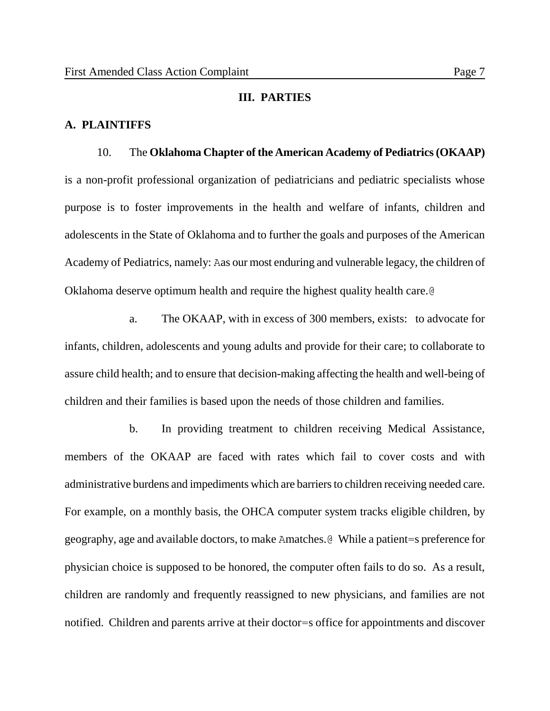#### **III. PARTIES**

### **A. PLAINTIFFS**

### 10. The **Oklahoma Chapter of the American Academy of Pediatrics (OKAAP)**

is a non-profit professional organization of pediatricians and pediatric specialists whose purpose is to foster improvements in the health and welfare of infants, children and adolescents in the State of Oklahoma and to further the goals and purposes of the American Academy of Pediatrics, namely: Aas our most enduring and vulnerable legacy, the children of Oklahoma deserve optimum health and require the highest quality health care.@

a. The OKAAP, with in excess of 300 members, exists: to advocate for infants, children, adolescents and young adults and provide for their care; to collaborate to assure child health; and to ensure that decision-making affecting the health and well-being of children and their families is based upon the needs of those children and families.

b. In providing treatment to children receiving Medical Assistance, members of the OKAAP are faced with rates which fail to cover costs and with administrative burdens and impediments which are barriers to children receiving needed care. For example, on a monthly basis, the OHCA computer system tracks eligible children, by geography, age and available doctors, to make Amatches.@ While a patient=s preference for physician choice is supposed to be honored, the computer often fails to do so. As a result, children are randomly and frequently reassigned to new physicians, and families are not notified. Children and parents arrive at their doctor=s office for appointments and discover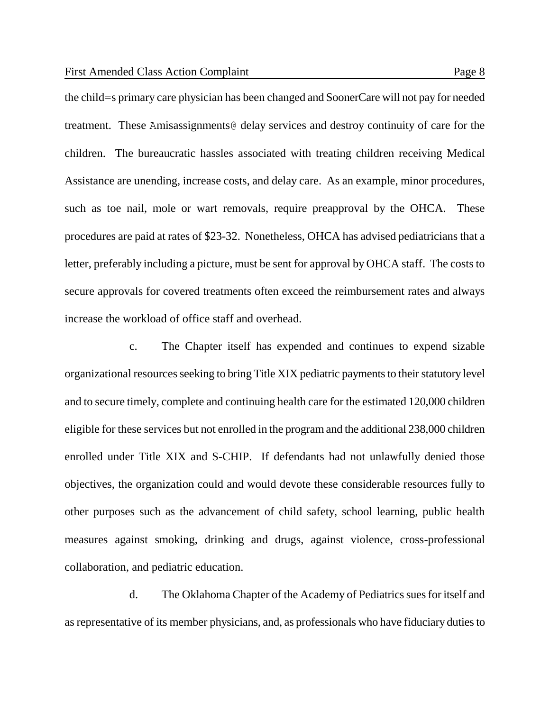the child=s primary care physician has been changed and SoonerCare will not pay for needed treatment. These Amisassignments@ delay services and destroy continuity of care for the children. The bureaucratic hassles associated with treating children receiving Medical Assistance are unending, increase costs, and delay care. As an example, minor procedures, such as toe nail, mole or wart removals, require preapproval by the OHCA. These procedures are paid at rates of \$23-32. Nonetheless, OHCA has advised pediatricians that a letter, preferably including a picture, must be sent for approval by OHCA staff. The costs to secure approvals for covered treatments often exceed the reimbursement rates and always increase the workload of office staff and overhead.

c. The Chapter itself has expended and continues to expend sizable organizational resources seeking to bring Title XIX pediatric payments to their statutory level and to secure timely, complete and continuing health care for the estimated 120,000 children eligible for these services but not enrolled in the program and the additional 238,000 children enrolled under Title XIX and S-CHIP. If defendants had not unlawfully denied those objectives, the organization could and would devote these considerable resources fully to other purposes such as the advancement of child safety, school learning, public health measures against smoking, drinking and drugs, against violence, cross-professional collaboration, and pediatric education.

d. The Oklahoma Chapter of the Academy of Pediatrics sues for itself and as representative of its member physicians, and, as professionals who have fiduciary duties to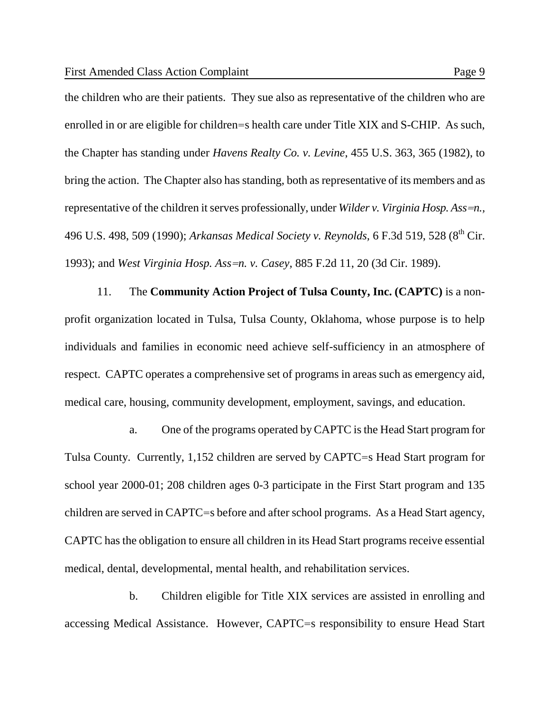the children who are their patients. They sue also as representative of the children who are enrolled in or are eligible for children=s health care under Title XIX and S-CHIP. As such, the Chapter has standing under *Havens Realty Co. v. Levine*, 455 U.S. 363, 365 (1982), to bring the action. The Chapter also has standing, both as representative of its members and as representative of the children it serves professionally, under *Wilder v. Virginia Hosp. Ass=n.,* 496 U.S. 498, 509 (1990); *Arkansas Medical Society v. Reynolds*, 6 F.3d 519, 528 (8<sup>th</sup> Cir. 1993); and *West Virginia Hosp. Ass=n. v. Casey,* 885 F.2d 11, 20 (3d Cir. 1989).

11. The **Community Action Project of Tulsa County, Inc. (CAPTC)** is a nonprofit organization located in Tulsa, Tulsa County, Oklahoma, whose purpose is to help individuals and families in economic need achieve self-sufficiency in an atmosphere of respect. CAPTC operates a comprehensive set of programs in areas such as emergency aid, medical care, housing, community development, employment, savings, and education.

a. One of the programs operated by CAPTC is the Head Start program for Tulsa County. Currently, 1,152 children are served by CAPTC=s Head Start program for school year 2000-01; 208 children ages 0-3 participate in the First Start program and 135 children are served in CAPTC=s before and after school programs. As a Head Start agency, CAPTC has the obligation to ensure all children in its Head Start programs receive essential medical, dental, developmental, mental health, and rehabilitation services.

b. Children eligible for Title XIX services are assisted in enrolling and accessing Medical Assistance. However, CAPTC=s responsibility to ensure Head Start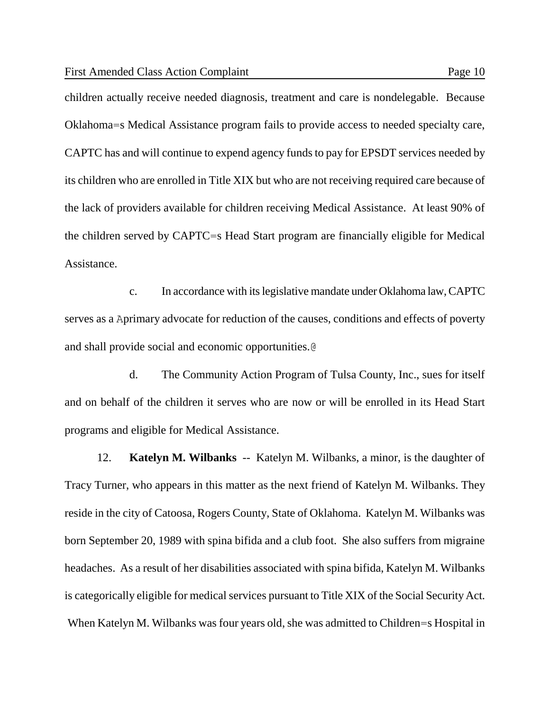children actually receive needed diagnosis, treatment and care is nondelegable. Because Oklahoma=s Medical Assistance program fails to provide access to needed specialty care, CAPTC has and will continue to expend agency funds to pay for EPSDT services needed by its children who are enrolled in Title XIX but who are not receiving required care because of the lack of providers available for children receiving Medical Assistance. At least 90% of the children served by CAPTC=s Head Start program are financially eligible for Medical Assistance.

c. In accordance with its legislative mandate under Oklahoma law, CAPTC serves as a Aprimary advocate for reduction of the causes, conditions and effects of poverty and shall provide social and economic opportunities.@

d. The Community Action Program of Tulsa County, Inc., sues for itself and on behalf of the children it serves who are now or will be enrolled in its Head Start programs and eligible for Medical Assistance.

12. **Katelyn M. Wilbanks** -- Katelyn M. Wilbanks, a minor, is the daughter of Tracy Turner, who appears in this matter as the next friend of Katelyn M. Wilbanks. They reside in the city of Catoosa, Rogers County, State of Oklahoma. Katelyn M. Wilbanks was born September 20, 1989 with spina bifida and a club foot. She also suffers from migraine headaches. As a result of her disabilities associated with spina bifida, Katelyn M. Wilbanks is categorically eligible for medical services pursuant to Title XIX of the Social Security Act. When Katelyn M. Wilbanks was four years old, she was admitted to Children=s Hospital in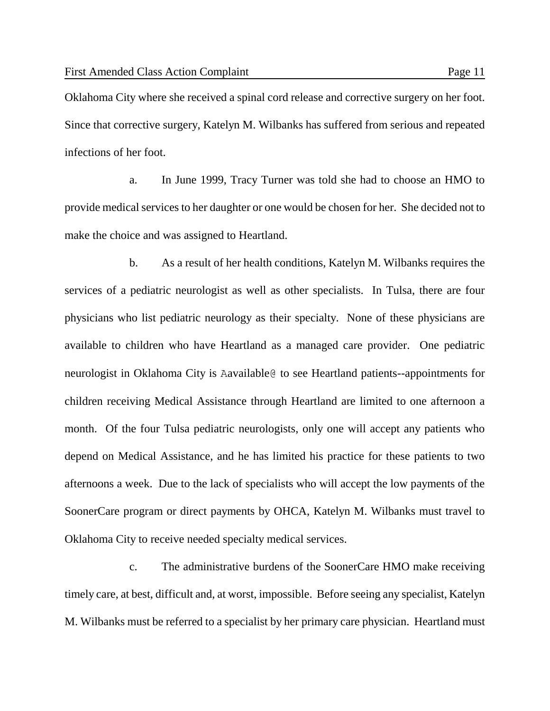Oklahoma City where she received a spinal cord release and corrective surgery on her foot. Since that corrective surgery, Katelyn M. Wilbanks has suffered from serious and repeated infections of her foot.

a. In June 1999, Tracy Turner was told she had to choose an HMO to provide medical services to her daughter or one would be chosen for her. She decided not to make the choice and was assigned to Heartland.

b. As a result of her health conditions, Katelyn M. Wilbanks requires the services of a pediatric neurologist as well as other specialists. In Tulsa, there are four physicians who list pediatric neurology as their specialty. None of these physicians are available to children who have Heartland as a managed care provider. One pediatric neurologist in Oklahoma City is Aavailable@ to see Heartland patients--appointments for children receiving Medical Assistance through Heartland are limited to one afternoon a month. Of the four Tulsa pediatric neurologists, only one will accept any patients who depend on Medical Assistance, and he has limited his practice for these patients to two afternoons a week. Due to the lack of specialists who will accept the low payments of the SoonerCare program or direct payments by OHCA, Katelyn M. Wilbanks must travel to Oklahoma City to receive needed specialty medical services.

c. The administrative burdens of the SoonerCare HMO make receiving timely care, at best, difficult and, at worst, impossible. Before seeing any specialist, Katelyn M. Wilbanks must be referred to a specialist by her primary care physician. Heartland must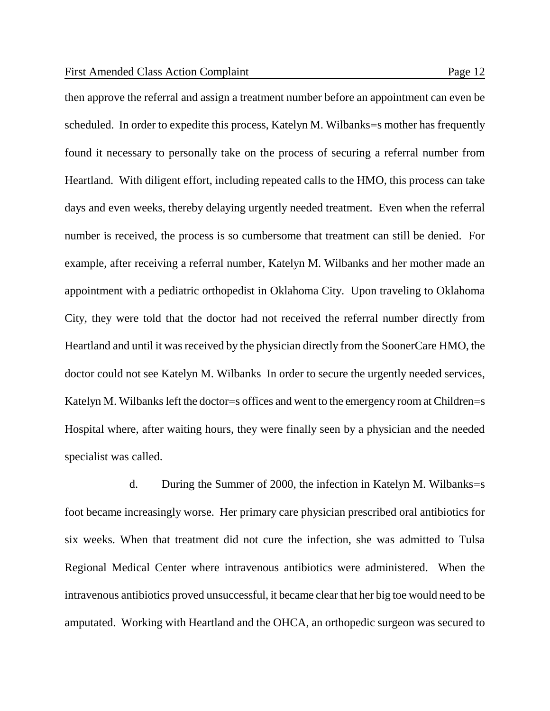then approve the referral and assign a treatment number before an appointment can even be scheduled. In order to expedite this process, Katelyn M. Wilbanks=s mother has frequently found it necessary to personally take on the process of securing a referral number from Heartland. With diligent effort, including repeated calls to the HMO, this process can take days and even weeks, thereby delaying urgently needed treatment. Even when the referral number is received, the process is so cumbersome that treatment can still be denied. For example, after receiving a referral number, Katelyn M. Wilbanks and her mother made an appointment with a pediatric orthopedist in Oklahoma City. Upon traveling to Oklahoma City, they were told that the doctor had not received the referral number directly from Heartland and until it was received by the physician directly from the SoonerCare HMO, the doctor could not see Katelyn M. Wilbanks In order to secure the urgently needed services, Katelyn M. Wilbanks left the doctor=s offices and went to the emergency room at Children=s Hospital where, after waiting hours, they were finally seen by a physician and the needed specialist was called.

d. During the Summer of 2000, the infection in Katelyn M. Wilbanks=s foot became increasingly worse. Her primary care physician prescribed oral antibiotics for six weeks. When that treatment did not cure the infection, she was admitted to Tulsa Regional Medical Center where intravenous antibiotics were administered. When the intravenous antibiotics proved unsuccessful, it became clear that her big toe would need to be amputated. Working with Heartland and the OHCA, an orthopedic surgeon was secured to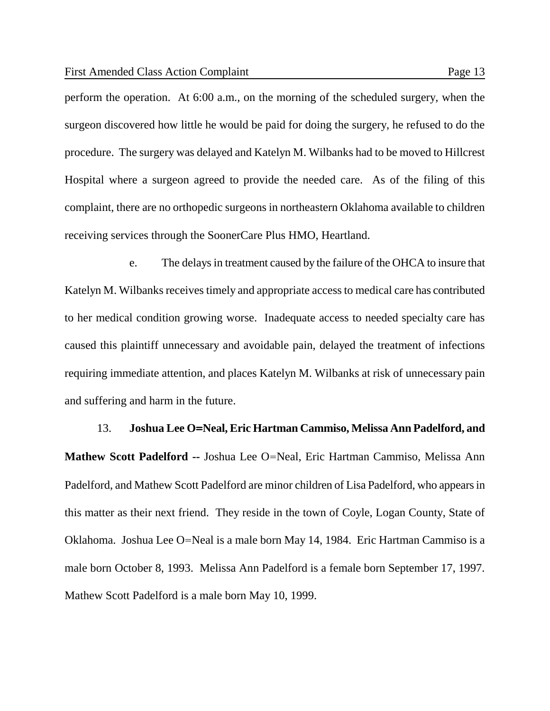perform the operation. At 6:00 a.m., on the morning of the scheduled surgery, when the surgeon discovered how little he would be paid for doing the surgery, he refused to do the procedure. The surgery was delayed and Katelyn M. Wilbanks had to be moved to Hillcrest Hospital where a surgeon agreed to provide the needed care. As of the filing of this complaint, there are no orthopedic surgeons in northeastern Oklahoma available to children receiving services through the SoonerCare Plus HMO, Heartland.

e. The delays in treatment caused by the failure of the OHCA to insure that Katelyn M. Wilbanks receives timely and appropriate access to medical care has contributed to her medical condition growing worse. Inadequate access to needed specialty care has caused this plaintiff unnecessary and avoidable pain, delayed the treatment of infections requiring immediate attention, and places Katelyn M. Wilbanks at risk of unnecessary pain and suffering and harm in the future.

13. **Joshua Lee O=Neal, Eric Hartman Cammiso, Melissa Ann Padelford, and Mathew Scott Padelford --** Joshua Lee O=Neal, Eric Hartman Cammiso, Melissa Ann Padelford, and Mathew Scott Padelford are minor children of Lisa Padelford, who appears in this matter as their next friend. They reside in the town of Coyle, Logan County, State of Oklahoma. Joshua Lee O=Neal is a male born May 14, 1984. Eric Hartman Cammiso is a male born October 8, 1993. Melissa Ann Padelford is a female born September 17, 1997. Mathew Scott Padelford is a male born May 10, 1999.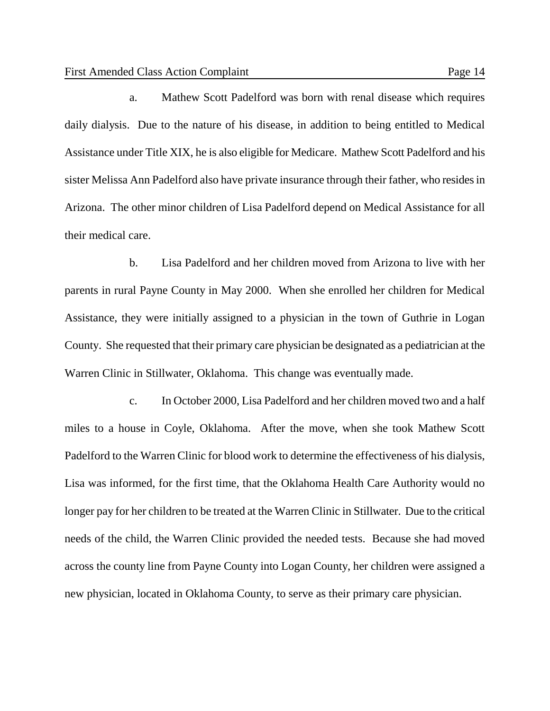a. Mathew Scott Padelford was born with renal disease which requires daily dialysis. Due to the nature of his disease, in addition to being entitled to Medical Assistance under Title XIX, he is also eligible for Medicare. Mathew Scott Padelford and his sister Melissa Ann Padelford also have private insurance through their father, who resides in Arizona. The other minor children of Lisa Padelford depend on Medical Assistance for all their medical care.

b. Lisa Padelford and her children moved from Arizona to live with her parents in rural Payne County in May 2000. When she enrolled her children for Medical Assistance, they were initially assigned to a physician in the town of Guthrie in Logan County. She requested that their primary care physician be designated as a pediatrician at the Warren Clinic in Stillwater, Oklahoma. This change was eventually made.

c. In October 2000, Lisa Padelford and her children moved two and a half miles to a house in Coyle, Oklahoma. After the move, when she took Mathew Scott Padelford to the Warren Clinic for blood work to determine the effectiveness of his dialysis, Lisa was informed, for the first time, that the Oklahoma Health Care Authority would no longer pay for her children to be treated at the Warren Clinic in Stillwater. Due to the critical needs of the child, the Warren Clinic provided the needed tests. Because she had moved across the county line from Payne County into Logan County, her children were assigned a new physician, located in Oklahoma County, to serve as their primary care physician.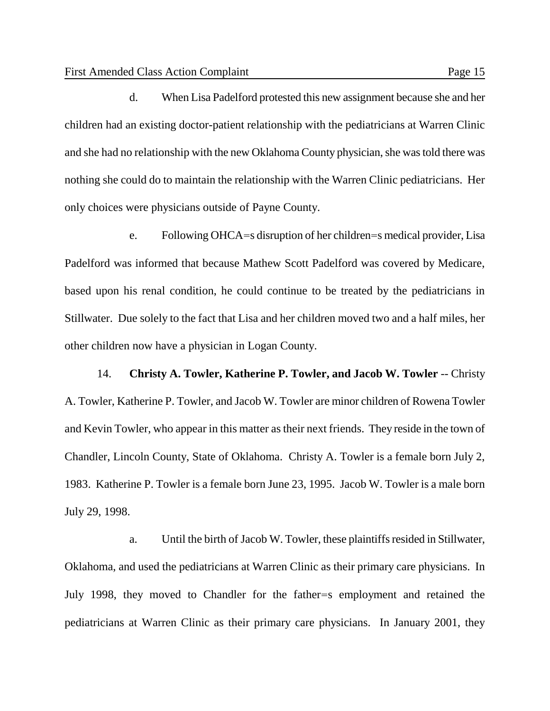d. When Lisa Padelford protested this new assignment because she and her children had an existing doctor-patient relationship with the pediatricians at Warren Clinic and she had no relationship with the new Oklahoma County physician, she was told there was nothing she could do to maintain the relationship with the Warren Clinic pediatricians. Her only choices were physicians outside of Payne County.

e. Following OHCA=s disruption of her children=s medical provider, Lisa Padelford was informed that because Mathew Scott Padelford was covered by Medicare, based upon his renal condition, he could continue to be treated by the pediatricians in Stillwater. Due solely to the fact that Lisa and her children moved two and a half miles, her other children now have a physician in Logan County.

14. **Christy A. Towler, Katherine P. Towler, and Jacob W. Towler** -- Christy A. Towler, Katherine P. Towler, and Jacob W. Towler are minor children of Rowena Towler and Kevin Towler, who appear in this matter as their next friends. They reside in the town of Chandler, Lincoln County, State of Oklahoma. Christy A. Towler is a female born July 2, 1983. Katherine P. Towler is a female born June 23, 1995. Jacob W. Towler is a male born July 29, 1998.

a. Until the birth of Jacob W. Towler, these plaintiffs resided in Stillwater, Oklahoma, and used the pediatricians at Warren Clinic as their primary care physicians. In July 1998, they moved to Chandler for the father=s employment and retained the pediatricians at Warren Clinic as their primary care physicians. In January 2001, they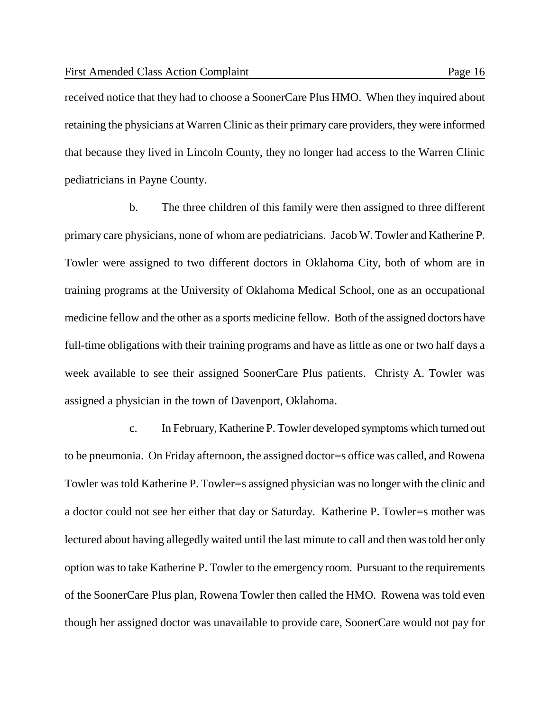received notice that they had to choose a SoonerCare Plus HMO. When they inquired about retaining the physicians at Warren Clinic as their primary care providers, they were informed that because they lived in Lincoln County, they no longer had access to the Warren Clinic pediatricians in Payne County.

b. The three children of this family were then assigned to three different primary care physicians, none of whom are pediatricians. Jacob W. Towler and Katherine P. Towler were assigned to two different doctors in Oklahoma City, both of whom are in training programs at the University of Oklahoma Medical School, one as an occupational medicine fellow and the other as a sports medicine fellow. Both of the assigned doctors have full-time obligations with their training programs and have as little as one or two half days a week available to see their assigned SoonerCare Plus patients. Christy A. Towler was assigned a physician in the town of Davenport, Oklahoma.

c. In February, Katherine P. Towler developed symptoms which turned out to be pneumonia. On Friday afternoon, the assigned doctor=s office was called, and Rowena Towler was told Katherine P. Towler=s assigned physician was no longer with the clinic and a doctor could not see her either that day or Saturday. Katherine P. Towler=s mother was lectured about having allegedly waited until the last minute to call and then was told her only option was to take Katherine P. Towler to the emergency room. Pursuant to the requirements of the SoonerCare Plus plan, Rowena Towler then called the HMO. Rowena was told even though her assigned doctor was unavailable to provide care, SoonerCare would not pay for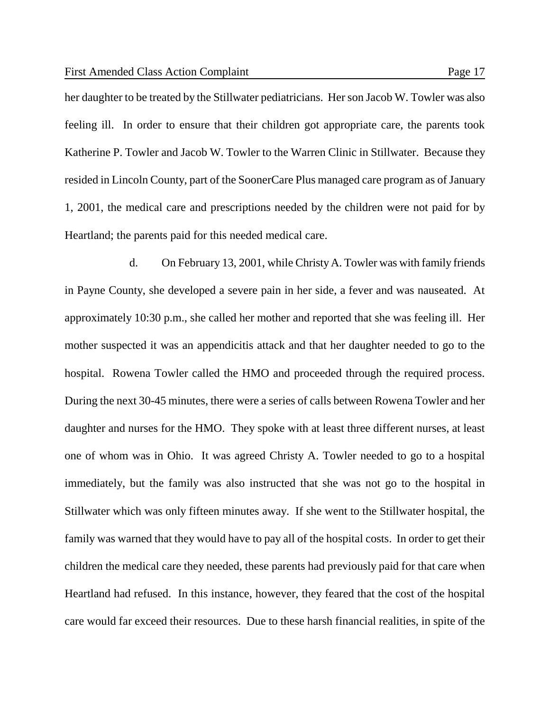her daughter to be treated by the Stillwater pediatricians. Her son Jacob W. Towler was also feeling ill. In order to ensure that their children got appropriate care, the parents took Katherine P. Towler and Jacob W. Towler to the Warren Clinic in Stillwater. Because they resided in Lincoln County, part of the SoonerCare Plus managed care program as of January 1, 2001, the medical care and prescriptions needed by the children were not paid for by Heartland; the parents paid for this needed medical care.

d. On February 13, 2001, while Christy A. Towler was with family friends in Payne County, she developed a severe pain in her side, a fever and was nauseated. At approximately 10:30 p.m., she called her mother and reported that she was feeling ill. Her mother suspected it was an appendicitis attack and that her daughter needed to go to the hospital. Rowena Towler called the HMO and proceeded through the required process. During the next 30-45 minutes, there were a series of calls between Rowena Towler and her daughter and nurses for the HMO. They spoke with at least three different nurses, at least one of whom was in Ohio. It was agreed Christy A. Towler needed to go to a hospital immediately, but the family was also instructed that she was not go to the hospital in Stillwater which was only fifteen minutes away. If she went to the Stillwater hospital, the family was warned that they would have to pay all of the hospital costs. In order to get their children the medical care they needed, these parents had previously paid for that care when Heartland had refused. In this instance, however, they feared that the cost of the hospital care would far exceed their resources. Due to these harsh financial realities, in spite of the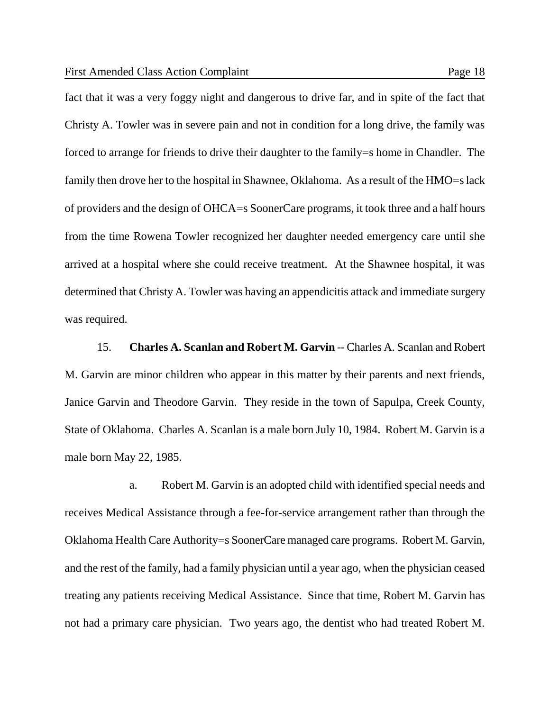fact that it was a very foggy night and dangerous to drive far, and in spite of the fact that Christy A. Towler was in severe pain and not in condition for a long drive, the family was forced to arrange for friends to drive their daughter to the family=s home in Chandler. The family then drove her to the hospital in Shawnee, Oklahoma. As a result of the HMO=s lack of providers and the design of OHCA=s SoonerCare programs, it took three and a half hours from the time Rowena Towler recognized her daughter needed emergency care until she arrived at a hospital where she could receive treatment. At the Shawnee hospital, it was determined that Christy A. Towler was having an appendicitis attack and immediate surgery was required.

15. **Charles A. Scanlan and Robert M. Garvin** -- Charles A. Scanlan and Robert M. Garvin are minor children who appear in this matter by their parents and next friends, Janice Garvin and Theodore Garvin. They reside in the town of Sapulpa, Creek County, State of Oklahoma. Charles A. Scanlan is a male born July 10, 1984. Robert M. Garvin is a male born May 22, 1985.

a. Robert M. Garvin is an adopted child with identified special needs and receives Medical Assistance through a fee-for-service arrangement rather than through the Oklahoma Health Care Authority=s SoonerCare managed care programs. Robert M. Garvin, and the rest of the family, had a family physician until a year ago, when the physician ceased treating any patients receiving Medical Assistance. Since that time, Robert M. Garvin has not had a primary care physician. Two years ago, the dentist who had treated Robert M.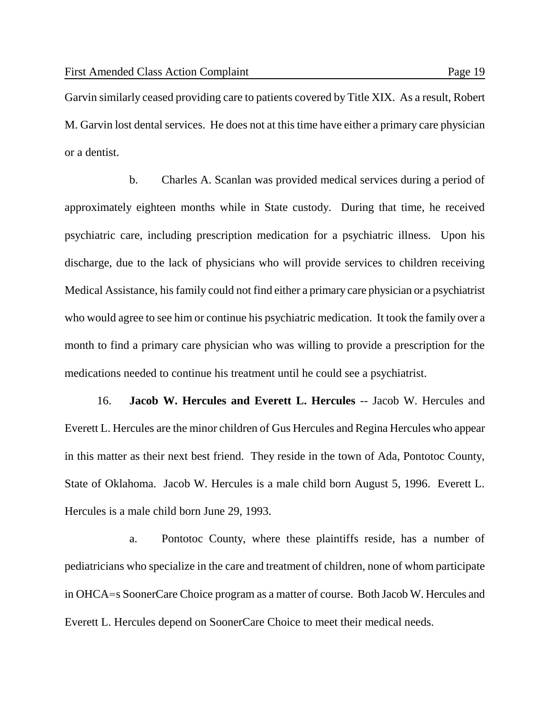Garvin similarly ceased providing care to patients covered by Title XIX. As a result, Robert M. Garvin lost dental services. He does not at this time have either a primary care physician or a dentist.

b. Charles A. Scanlan was provided medical services during a period of approximately eighteen months while in State custody. During that time, he received psychiatric care, including prescription medication for a psychiatric illness. Upon his discharge, due to the lack of physicians who will provide services to children receiving Medical Assistance, his family could not find either a primary care physician or a psychiatrist who would agree to see him or continue his psychiatric medication. It took the family over a month to find a primary care physician who was willing to provide a prescription for the medications needed to continue his treatment until he could see a psychiatrist.

16. **Jacob W. Hercules and Everett L. Hercules** -- Jacob W. Hercules and Everett L. Hercules are the minor children of Gus Hercules and Regina Hercules who appear in this matter as their next best friend. They reside in the town of Ada, Pontotoc County, State of Oklahoma. Jacob W. Hercules is a male child born August 5, 1996. Everett L. Hercules is a male child born June 29, 1993.

a. Pontotoc County, where these plaintiffs reside, has a number of pediatricians who specialize in the care and treatment of children, none of whom participate in OHCA=s SoonerCare Choice program as a matter of course. Both Jacob W. Hercules and Everett L. Hercules depend on SoonerCare Choice to meet their medical needs.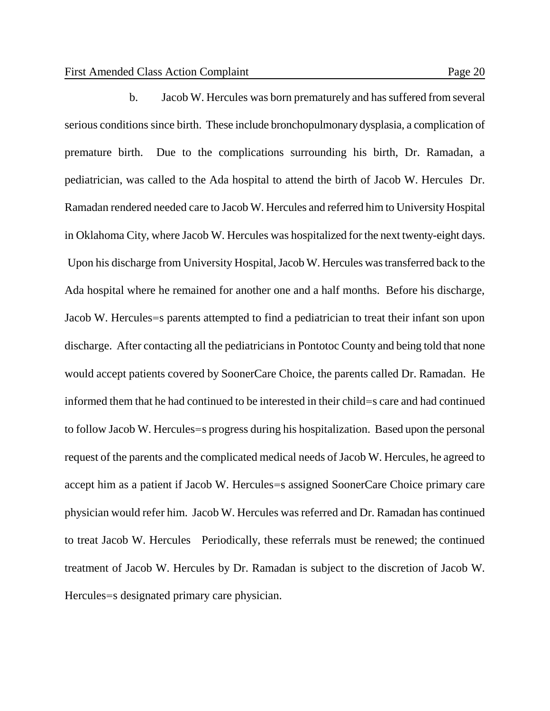b. Jacob W. Hercules was born prematurely and has suffered from several serious conditions since birth. These include bronchopulmonary dysplasia, a complication of premature birth. Due to the complications surrounding his birth, Dr. Ramadan, a pediatrician, was called to the Ada hospital to attend the birth of Jacob W. Hercules Dr. Ramadan rendered needed care to Jacob W. Hercules and referred him to University Hospital in Oklahoma City, where Jacob W. Hercules was hospitalized for the next twenty-eight days. Upon his discharge from University Hospital, Jacob W. Hercules was transferred back to the Ada hospital where he remained for another one and a half months. Before his discharge, Jacob W. Hercules=s parents attempted to find a pediatrician to treat their infant son upon discharge. After contacting all the pediatricians in Pontotoc County and being told that none would accept patients covered by SoonerCare Choice, the parents called Dr. Ramadan. He informed them that he had continued to be interested in their child=s care and had continued to follow Jacob W. Hercules=s progress during his hospitalization. Based upon the personal request of the parents and the complicated medical needs of Jacob W. Hercules, he agreed to accept him as a patient if Jacob W. Hercules=s assigned SoonerCare Choice primary care physician would refer him. Jacob W. Hercules was referred and Dr. Ramadan has continued to treat Jacob W. Hercules Periodically, these referrals must be renewed; the continued treatment of Jacob W. Hercules by Dr. Ramadan is subject to the discretion of Jacob W. Hercules=s designated primary care physician.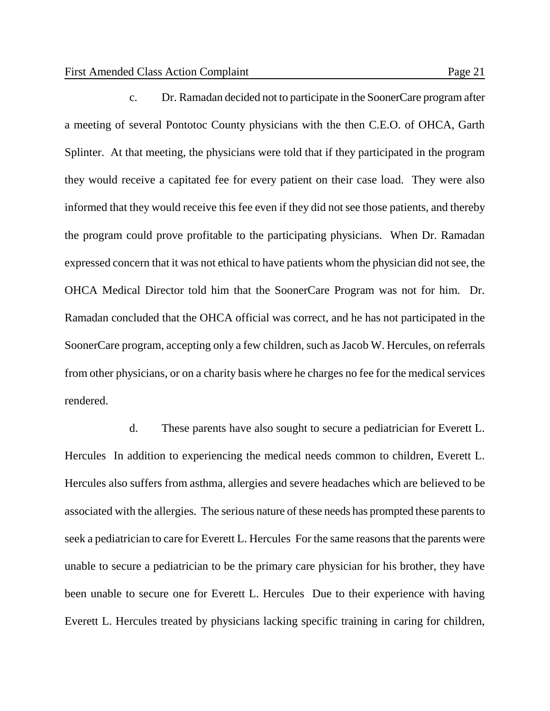c. Dr. Ramadan decided not to participate in the SoonerCare program after a meeting of several Pontotoc County physicians with the then C.E.O. of OHCA, Garth Splinter. At that meeting, the physicians were told that if they participated in the program they would receive a capitated fee for every patient on their case load. They were also informed that they would receive this fee even if they did not see those patients, and thereby the program could prove profitable to the participating physicians. When Dr. Ramadan expressed concern that it was not ethical to have patients whom the physician did not see, the OHCA Medical Director told him that the SoonerCare Program was not for him. Dr. Ramadan concluded that the OHCA official was correct, and he has not participated in the SoonerCare program, accepting only a few children, such as Jacob W. Hercules, on referrals from other physicians, or on a charity basis where he charges no fee for the medical services rendered.

d. These parents have also sought to secure a pediatrician for Everett L. Hercules In addition to experiencing the medical needs common to children, Everett L. Hercules also suffers from asthma, allergies and severe headaches which are believed to be associated with the allergies. The serious nature of these needs has prompted these parents to seek a pediatrician to care for Everett L. Hercules For the same reasons that the parents were unable to secure a pediatrician to be the primary care physician for his brother, they have been unable to secure one for Everett L. Hercules Due to their experience with having Everett L. Hercules treated by physicians lacking specific training in caring for children,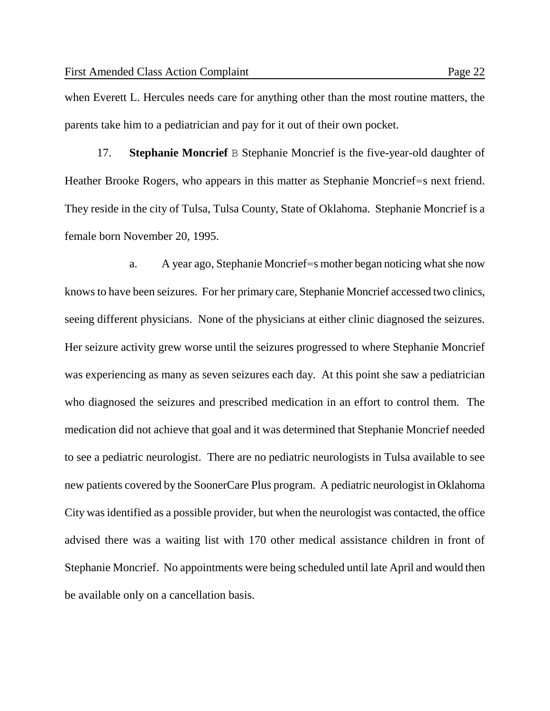when Everett L. Hercules needs care for anything other than the most routine matters, the parents take him to a pediatrician and pay for it out of their own pocket.

17. **Stephanie Moncrief** B Stephanie Moncrief is the five-year-old daughter of Heather Brooke Rogers, who appears in this matter as Stephanie Moncrief=s next friend. They reside in the city of Tulsa, Tulsa County, State of Oklahoma. Stephanie Moncrief is a female born November 20, 1995.

a. A year ago, Stephanie Moncrief=s mother began noticing what she now knows to have been seizures. For her primary care, Stephanie Moncrief accessed two clinics, seeing different physicians. None of the physicians at either clinic diagnosed the seizures. Her seizure activity grew worse until the seizures progressed to where Stephanie Moncrief was experiencing as many as seven seizures each day. At this point she saw a pediatrician who diagnosed the seizures and prescribed medication in an effort to control them. The medication did not achieve that goal and it was determined that Stephanie Moncrief needed to see a pediatric neurologist. There are no pediatric neurologists in Tulsa available to see new patients covered by the SoonerCare Plus program. A pediatric neurologist in Oklahoma City was identified as a possible provider, but when the neurologist was contacted, the office advised there was a waiting list with 170 other medical assistance children in front of Stephanie Moncrief. No appointments were being scheduled until late April and would then be available only on a cancellation basis.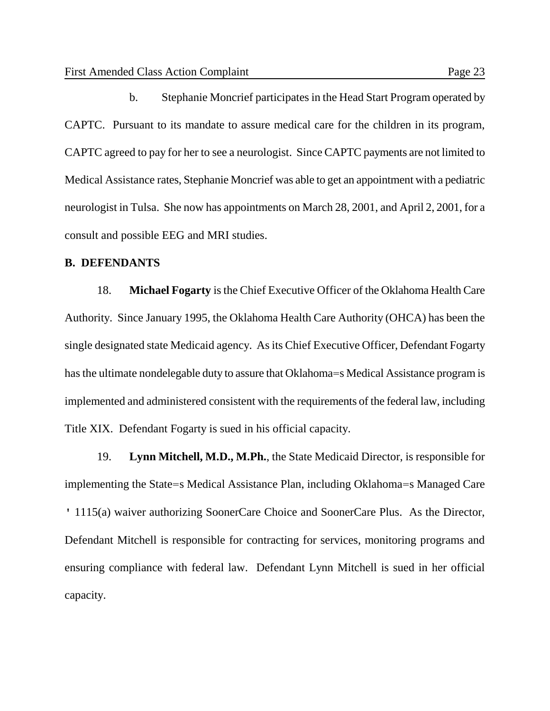b. Stephanie Moncrief participates in the Head Start Program operated by CAPTC. Pursuant to its mandate to assure medical care for the children in its program, CAPTC agreed to pay for her to see a neurologist. Since CAPTC payments are not limited to Medical Assistance rates, Stephanie Moncrief was able to get an appointment with a pediatric neurologist in Tulsa. She now has appointments on March 28, 2001, and April 2, 2001, for a consult and possible EEG and MRI studies.

#### **B. DEFENDANTS**

18. **Michael Fogarty** is the Chief Executive Officer of the Oklahoma Health Care Authority. Since January 1995, the Oklahoma Health Care Authority (OHCA) has been the single designated state Medicaid agency. As its Chief Executive Officer, Defendant Fogarty has the ultimate nondelegable duty to assure that Oklahoma=s Medical Assistance program is implemented and administered consistent with the requirements of the federal law, including Title XIX. Defendant Fogarty is sued in his official capacity.

19. **Lynn Mitchell, M.D., M.Ph.**, the State Medicaid Director, is responsible for implementing the State=s Medical Assistance Plan, including Oklahoma=s Managed Care ' 1115(a) waiver authorizing SoonerCare Choice and SoonerCare Plus. As the Director, Defendant Mitchell is responsible for contracting for services, monitoring programs and ensuring compliance with federal law. Defendant Lynn Mitchell is sued in her official capacity.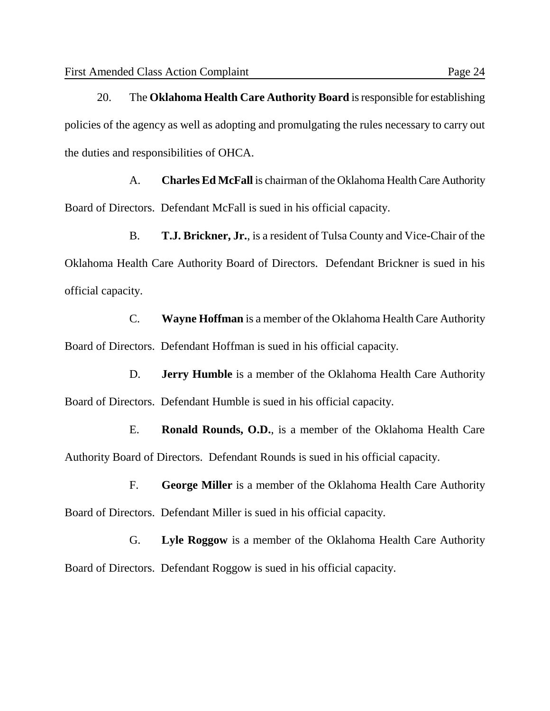20. The **Oklahoma Health Care Authority Board** is responsible for establishing policies of the agency as well as adopting and promulgating the rules necessary to carry out the duties and responsibilities of OHCA.

A. **Charles Ed McFall** is chairman of the Oklahoma Health Care Authority Board of Directors. Defendant McFall is sued in his official capacity.

B. **T.J. Brickner, Jr.**, is a resident of Tulsa County and Vice-Chair of the Oklahoma Health Care Authority Board of Directors. Defendant Brickner is sued in his official capacity.

C. **Wayne Hoffman** is a member of the Oklahoma Health Care Authority Board of Directors. Defendant Hoffman is sued in his official capacity.

D. **Jerry Humble** is a member of the Oklahoma Health Care Authority Board of Directors. Defendant Humble is sued in his official capacity.

E. **Ronald Rounds, O.D.**, is a member of the Oklahoma Health Care Authority Board of Directors. Defendant Rounds is sued in his official capacity.

F. **George Miller** is a member of the Oklahoma Health Care Authority Board of Directors. Defendant Miller is sued in his official capacity.

G. **Lyle Roggow** is a member of the Oklahoma Health Care Authority Board of Directors. Defendant Roggow is sued in his official capacity.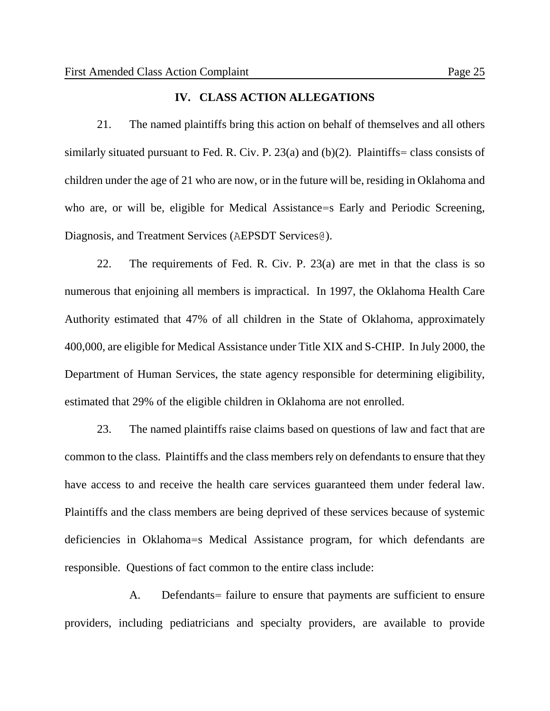### **IV. CLASS ACTION ALLEGATIONS**

21. The named plaintiffs bring this action on behalf of themselves and all others similarly situated pursuant to Fed. R. Civ. P. 23(a) and  $(b)(2)$ . Plaintiffs= class consists of children under the age of 21 who are now, or in the future will be, residing in Oklahoma and who are, or will be, eligible for Medical Assistance=s Early and Periodic Screening, Diagnosis, and Treatment Services (AEPSDT Services@).

22. The requirements of Fed. R. Civ. P. 23(a) are met in that the class is so numerous that enjoining all members is impractical. In 1997, the Oklahoma Health Care Authority estimated that 47% of all children in the State of Oklahoma, approximately 400,000, are eligible for Medical Assistance under Title XIX and S-CHIP. In July 2000, the Department of Human Services, the state agency responsible for determining eligibility, estimated that 29% of the eligible children in Oklahoma are not enrolled.

23. The named plaintiffs raise claims based on questions of law and fact that are common to the class. Plaintiffs and the class members rely on defendants to ensure that they have access to and receive the health care services guaranteed them under federal law. Plaintiffs and the class members are being deprived of these services because of systemic deficiencies in Oklahoma=s Medical Assistance program, for which defendants are responsible. Questions of fact common to the entire class include:

A. Defendants = failure to ensure that payments are sufficient to ensure providers, including pediatricians and specialty providers, are available to provide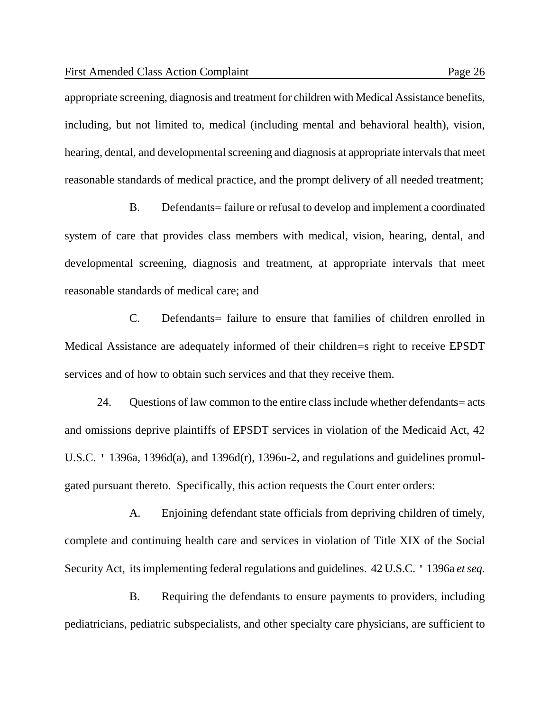appropriate screening, diagnosis and treatment for children with Medical Assistance benefits, including, but not limited to, medical (including mental and behavioral health), vision, hearing, dental, and developmental screening and diagnosis at appropriate intervals that meet reasonable standards of medical practice, and the prompt delivery of all needed treatment;

B. Defendants= failure or refusal to develop and implement a coordinated system of care that provides class members with medical, vision, hearing, dental, and developmental screening, diagnosis and treatment, at appropriate intervals that meet reasonable standards of medical care; and

C. Defendants= failure to ensure that families of children enrolled in Medical Assistance are adequately informed of their children=s right to receive EPSDT services and of how to obtain such services and that they receive them.

24. Questions of law common to the entire class include whether defendants= acts and omissions deprive plaintiffs of EPSDT services in violation of the Medicaid Act, 42 U.S.C. ' 1396a, 1396d(a), and 1396d(r), 1396u-2, and regulations and guidelines promulgated pursuant thereto. Specifically, this action requests the Court enter orders:

A. Enjoining defendant state officials from depriving children of timely, complete and continuing health care and services in violation of Title XIX of the Social Security Act, its implementing federal regulations and guidelines. 42 U.S.C. ' 1396a *et seq.*

B. Requiring the defendants to ensure payments to providers, including pediatricians, pediatric subspecialists, and other specialty care physicians, are sufficient to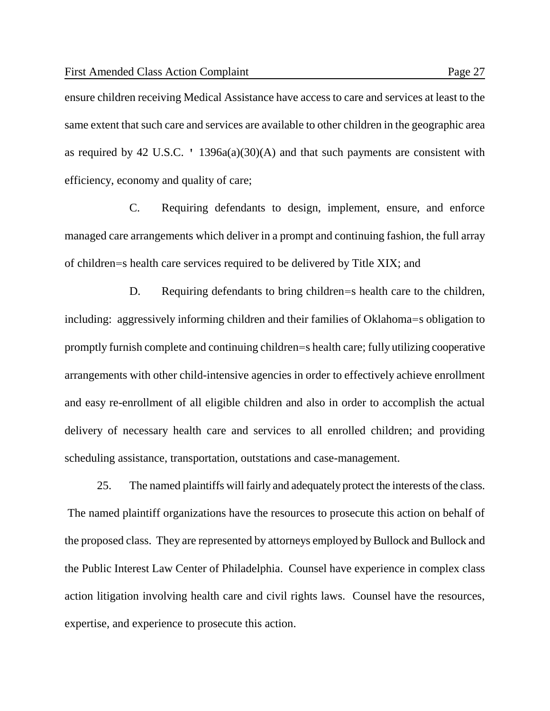ensure children receiving Medical Assistance have access to care and services at least to the same extent that such care and services are available to other children in the geographic area as required by 42 U.S.C. ' 1396a(a)(30)(A) and that such payments are consistent with efficiency, economy and quality of care;

C. Requiring defendants to design, implement, ensure, and enforce managed care arrangements which deliver in a prompt and continuing fashion, the full array of children=s health care services required to be delivered by Title XIX; and

D. Requiring defendants to bring children=s health care to the children, including: aggressively informing children and their families of Oklahoma=s obligation to promptly furnish complete and continuing children=s health care; fully utilizing cooperative arrangements with other child-intensive agencies in order to effectively achieve enrollment and easy re-enrollment of all eligible children and also in order to accomplish the actual delivery of necessary health care and services to all enrolled children; and providing scheduling assistance, transportation, outstations and case-management.

25. The named plaintiffs will fairly and adequately protect the interests of the class. The named plaintiff organizations have the resources to prosecute this action on behalf of the proposed class. They are represented by attorneys employed by Bullock and Bullock and the Public Interest Law Center of Philadelphia. Counsel have experience in complex class action litigation involving health care and civil rights laws. Counsel have the resources, expertise, and experience to prosecute this action.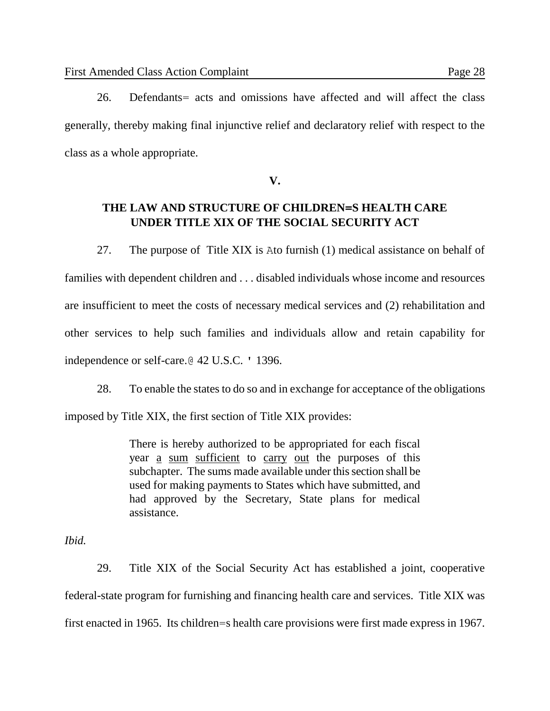26. Defendants= acts and omissions have affected and will affect the class generally, thereby making final injunctive relief and declaratory relief with respect to the class as a whole appropriate.

**V.**

# **THE LAW AND STRUCTURE OF CHILDREN=S HEALTH CARE UNDER TITLE XIX OF THE SOCIAL SECURITY ACT**

27. The purpose of Title XIX is Ato furnish (1) medical assistance on behalf of families with dependent children and . . . disabled individuals whose income and resources are insufficient to meet the costs of necessary medical services and (2) rehabilitation and other services to help such families and individuals allow and retain capability for independence or self-care.@ 42 U.S.C. ' 1396.

28. To enable the states to do so and in exchange for acceptance of the obligations

imposed by Title XIX, the first section of Title XIX provides:

There is hereby authorized to be appropriated for each fiscal year a sum sufficient to carry out the purposes of this subchapter. The sums made available under this section shall be used for making payments to States which have submitted, and had approved by the Secretary, State plans for medical assistance.

## *Ibid.*

29. Title XIX of the Social Security Act has established a joint, cooperative federal-state program for furnishing and financing health care and services. Title XIX was first enacted in 1965. Its children=s health care provisions were first made express in 1967.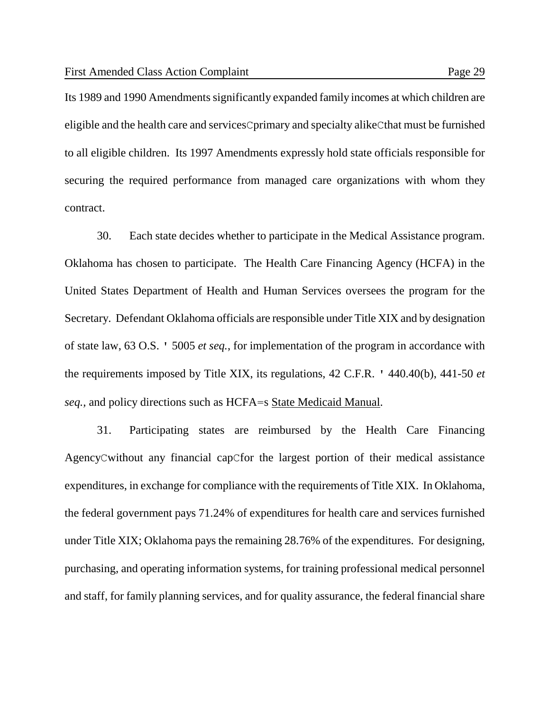Its 1989 and 1990 Amendments significantly expanded family incomes at which children are eligible and the health care and servicesCprimary and specialty alikeCthat must be furnished to all eligible children. Its 1997 Amendments expressly hold state officials responsible for securing the required performance from managed care organizations with whom they contract.

30. Each state decides whether to participate in the Medical Assistance program. Oklahoma has chosen to participate. The Health Care Financing Agency (HCFA) in the United States Department of Health and Human Services oversees the program for the Secretary. Defendant Oklahoma officials are responsible under Title XIX and by designation of state law, 63 O.S. ' 5005 *et seq.*, for implementation of the program in accordance with the requirements imposed by Title XIX, its regulations, 42 C.F.R. ' 440.40(b), 441-50 *et seq.,* and policy directions such as HCFA=s State Medicaid Manual.

31. Participating states are reimbursed by the Health Care Financing AgencyCwithout any financial capCfor the largest portion of their medical assistance expenditures, in exchange for compliance with the requirements of Title XIX. In Oklahoma, the federal government pays 71.24% of expenditures for health care and services furnished under Title XIX; Oklahoma pays the remaining 28.76% of the expenditures. For designing, purchasing, and operating information systems, for training professional medical personnel and staff, for family planning services, and for quality assurance, the federal financial share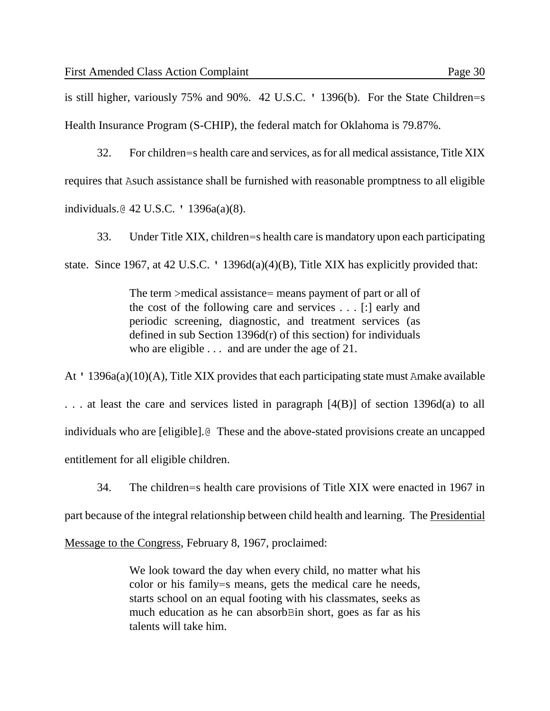is still higher, variously 75% and 90%. 42 U.S.C. ' 1396(b). For the State Children=s Health Insurance Program (S-CHIP), the federal match for Oklahoma is 79.87%.

32. For children=s health care and services, as for all medical assistance, Title XIX requires that Asuch assistance shall be furnished with reasonable promptness to all eligible individuals.@ 42 U.S.C. ' 1396a(a)(8).

33. Under Title XIX, children=s health care is mandatory upon each participating state. Since 1967, at 42 U.S.C. ' 1396d(a)(4)(B), Title XIX has explicitly provided that:

> The term >medical assistance= means payment of part or all of the cost of the following care and services . . . [:] early and periodic screening, diagnostic, and treatment services (as defined in sub Section 1396d(r) of this section) for individuals who are eligible . . . and are under the age of 21.

At ' 1396a(a)(10)(A), Title XIX provides that each participating state must Amake available . . . at least the care and services listed in paragraph [4(B)] of section 1396d(a) to all individuals who are [eligible].@ These and the above-stated provisions create an uncapped entitlement for all eligible children.

34. The children=s health care provisions of Title XIX were enacted in 1967 in

part because of the integral relationship between child health and learning. The Presidential

Message to the Congress, February 8, 1967, proclaimed:

We look toward the day when every child, no matter what his color or his family=s means, gets the medical care he needs, starts school on an equal footing with his classmates, seeks as much education as he can absorbBin short, goes as far as his talents will take him.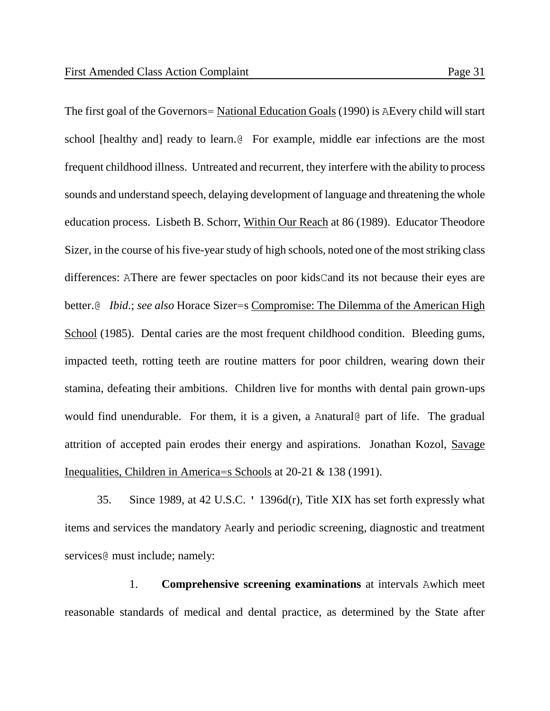The first goal of the Governors= National Education Goals (1990) is AEvery child will start school [healthy and] ready to learn.@ For example, middle ear infections are the most frequent childhood illness. Untreated and recurrent, they interfere with the ability to process sounds and understand speech, delaying development of language and threatening the whole education process. Lisbeth B. Schorr, Within Our Reach at 86 (1989). Educator Theodore Sizer, in the course of his five-year study of high schools, noted one of the most striking class differences: AThere are fewer spectacles on poor kidsCand its not because their eyes are better.@ *Ibid.*; *see also* Horace Sizer=s Compromise: The Dilemma of the American High School (1985). Dental caries are the most frequent childhood condition. Bleeding gums, impacted teeth, rotting teeth are routine matters for poor children, wearing down their stamina, defeating their ambitions. Children live for months with dental pain grown-ups would find unendurable. For them, it is a given, a Anatural opart of life. The gradual attrition of accepted pain erodes their energy and aspirations. Jonathan Kozol, Savage Inequalities, Children in America=s Schools at 20-21 & 138 (1991).

35. Since 1989, at 42 U.S.C. ' 1396d(r), Title XIX has set forth expressly what items and services the mandatory Aearly and periodic screening, diagnostic and treatment services@ must include; namely:

1. **Comprehensive screening examinations** at intervals Awhich meet reasonable standards of medical and dental practice, as determined by the State after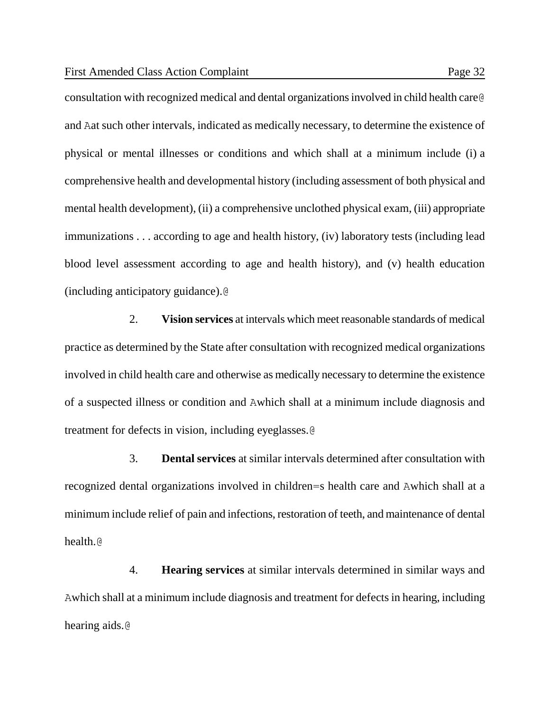consultation with recognized medical and dental organizations involved in child health care@ and Aat such other intervals, indicated as medically necessary, to determine the existence of physical or mental illnesses or conditions and which shall at a minimum include (i) a comprehensive health and developmental history (including assessment of both physical and mental health development), (ii) a comprehensive unclothed physical exam, (iii) appropriate immunizations . . . according to age and health history, (iv) laboratory tests (including lead blood level assessment according to age and health history), and (v) health education (including anticipatory guidance).@

2. **Vision services** at intervals which meet reasonable standards of medical practice as determined by the State after consultation with recognized medical organizations involved in child health care and otherwise as medically necessary to determine the existence of a suspected illness or condition and Awhich shall at a minimum include diagnosis and treatment for defects in vision, including eyeglasses.@

3. **Dental services** at similar intervals determined after consultation with recognized dental organizations involved in children=s health care and Awhich shall at a minimum include relief of pain and infections, restoration of teeth, and maintenance of dental health.@

4. **Hearing services** at similar intervals determined in similar ways and Awhich shall at a minimum include diagnosis and treatment for defects in hearing, including hearing aids.@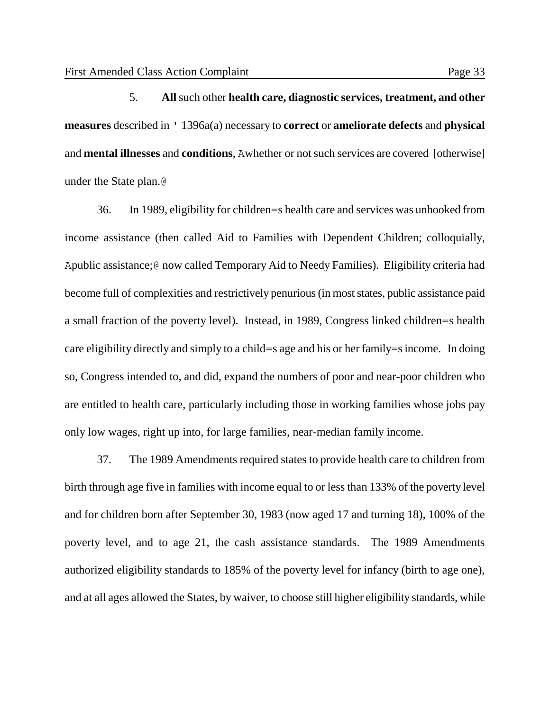5. **All** such other **health care, diagnostic services, treatment, and other measures** described in ' 1396a(a) necessary to **correct** or **ameliorate defects** and **physical** and **mental illnesses** and **conditions**, Awhether or not such services are covered [otherwise] under the State plan.@

36. In 1989, eligibility for children=s health care and services was unhooked from income assistance (then called Aid to Families with Dependent Children; colloquially, Apublic assistance;@ now called Temporary Aid to Needy Families). Eligibility criteria had become full of complexities and restrictively penurious (in most states, public assistance paid a small fraction of the poverty level). Instead, in 1989, Congress linked children=s health care eligibility directly and simply to a child=s age and his or her family=s income. In doing so, Congress intended to, and did, expand the numbers of poor and near-poor children who are entitled to health care, particularly including those in working families whose jobs pay only low wages, right up into, for large families, near-median family income.

37. The 1989 Amendments required states to provide health care to children from birth through age five in families with income equal to or less than 133% of the poverty level and for children born after September 30, 1983 (now aged 17 and turning 18), 100% of the poverty level, and to age 21, the cash assistance standards. The 1989 Amendments authorized eligibility standards to 185% of the poverty level for infancy (birth to age one), and at all ages allowed the States, by waiver, to choose still higher eligibility standards, while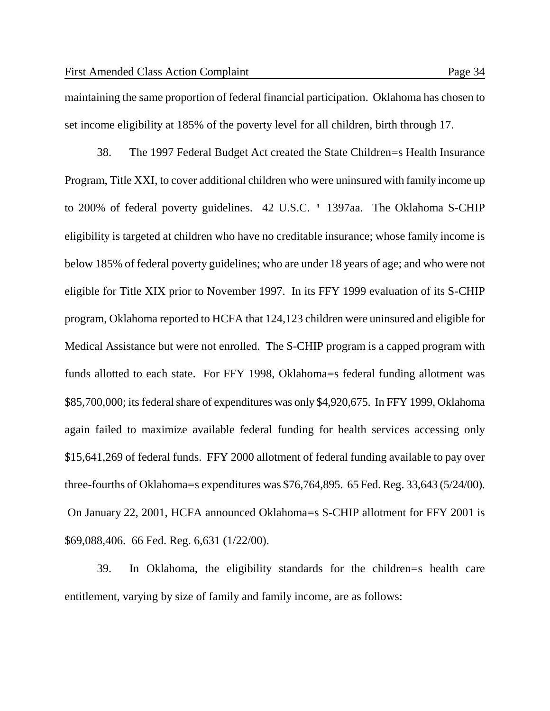maintaining the same proportion of federal financial participation. Oklahoma has chosen to set income eligibility at 185% of the poverty level for all children, birth through 17.

38. The 1997 Federal Budget Act created the State Children=s Health Insurance Program, Title XXI, to cover additional children who were uninsured with family income up to 200% of federal poverty guidelines. 42 U.S.C. ' 1397aa. The Oklahoma S-CHIP eligibility is targeted at children who have no creditable insurance; whose family income is below 185% of federal poverty guidelines; who are under 18 years of age; and who were not eligible for Title XIX prior to November 1997. In its FFY 1999 evaluation of its S-CHIP program, Oklahoma reported to HCFA that 124,123 children were uninsured and eligible for Medical Assistance but were not enrolled. The S-CHIP program is a capped program with funds allotted to each state. For FFY 1998, Oklahoma=s federal funding allotment was \$85,700,000; its federal share of expenditures was only \$4,920,675. In FFY 1999, Oklahoma again failed to maximize available federal funding for health services accessing only \$15,641,269 of federal funds. FFY 2000 allotment of federal funding available to pay over three-fourths of Oklahoma=s expenditures was \$76,764,895. 65 Fed. Reg. 33,643 (5/24/00). On January 22, 2001, HCFA announced Oklahoma=s S-CHIP allotment for FFY 2001 is \$69,088,406. 66 Fed. Reg. 6,631 (1/22/00).

39. In Oklahoma, the eligibility standards for the children=s health care entitlement, varying by size of family and family income, are as follows: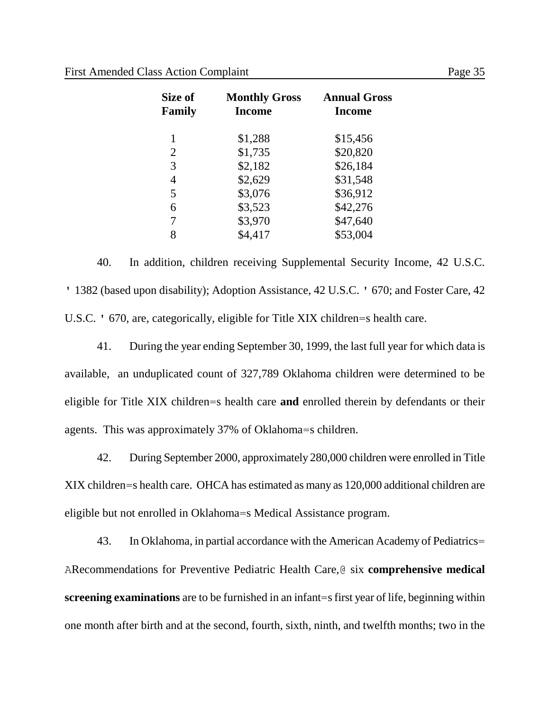| Size of<br>Family | <b>Monthly Gross</b><br><b>Income</b> | <b>Annual Gross</b><br><b>Income</b> |
|-------------------|---------------------------------------|--------------------------------------|
| 1                 | \$1,288                               | \$15,456                             |
| 2                 | \$1,735                               | \$20,820                             |
| 3                 | \$2,182                               | \$26,184                             |
| 4                 | \$2,629                               | \$31,548                             |
| 5                 | \$3,076                               | \$36,912                             |
| 6                 | \$3,523                               | \$42,276                             |
| 7                 | \$3,970                               | \$47,640                             |
| 8                 | \$4,417                               | \$53,004                             |

40. In addition, children receiving Supplemental Security Income, 42 U.S.C. ' 1382 (based upon disability); Adoption Assistance, 42 U.S.C. ' 670; and Foster Care, 42 U.S.C. ' 670, are, categorically, eligible for Title XIX children=s health care.

41. During the year ending September 30, 1999, the last full year for which data is available, an unduplicated count of 327,789 Oklahoma children were determined to be eligible for Title XIX children=s health care **and** enrolled therein by defendants or their agents. This was approximately 37% of Oklahoma=s children.

42. During September 2000, approximately 280,000 children were enrolled in Title XIX children=s health care. OHCA has estimated as many as 120,000 additional children are eligible but not enrolled in Oklahoma=s Medical Assistance program.

43. In Oklahoma, in partial accordance with the American Academy of Pediatrics= ARecommendations for Preventive Pediatric Health Care,@ six **comprehensive medical screening examinations** are to be furnished in an infant=s first year of life, beginning within one month after birth and at the second, fourth, sixth, ninth, and twelfth months; two in the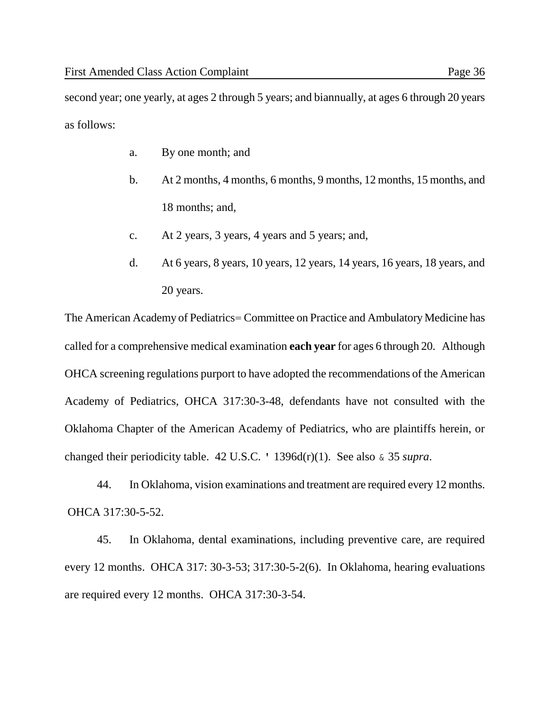as follows:

- a. By one month; and
- b. At 2 months, 4 months, 6 months, 9 months, 12 months, 15 months, and 18 months; and,
- c. At 2 years, 3 years, 4 years and 5 years; and,
- d. At 6 years, 8 years, 10 years, 12 years, 14 years, 16 years, 18 years, and 20 years.

The American Academy of Pediatrics= Committee on Practice and Ambulatory Medicine has called for a comprehensive medical examination **each year** for ages 6 through 20. Although OHCA screening regulations purport to have adopted the recommendations of the American Academy of Pediatrics, OHCA 317:30-3-48, defendants have not consulted with the Oklahoma Chapter of the American Academy of Pediatrics, who are plaintiffs herein, or changed their periodicity table. 42 U.S.C. ' 1396d(r)(1). See also & 35 *supra*.

44. In Oklahoma, vision examinations and treatment are required every 12 months. OHCA 317:30-5-52.

45. In Oklahoma, dental examinations, including preventive care, are required every 12 months. OHCA 317: 30-3-53; 317:30-5-2(6). In Oklahoma, hearing evaluations are required every 12 months. OHCA 317:30-3-54.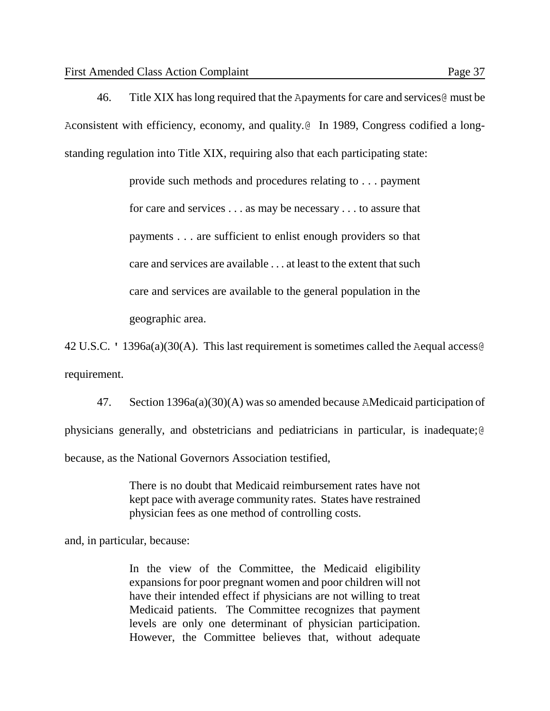46. Title XIX has long required that the Apayments for care and services@ must be Aconsistent with efficiency, economy, and quality.@ In 1989, Congress codified a longstanding regulation into Title XIX, requiring also that each participating state:

> provide such methods and procedures relating to . . . payment for care and services . . . as may be necessary . . . to assure that payments . . . are sufficient to enlist enough providers so that care and services are available . . . at least to the extent that such care and services are available to the general population in the geographic area.

42 U.S.C. ' 1396a(a)(30(A). This last requirement is sometimes called the Aequal access@ requirement.

47. Section 1396a(a)(30)(A) was so amended because AMedicaid participation of physicians generally, and obstetricians and pediatricians in particular, is inadequate;@ because, as the National Governors Association testified,

> There is no doubt that Medicaid reimbursement rates have not kept pace with average community rates. States have restrained physician fees as one method of controlling costs.

and, in particular, because:

In the view of the Committee, the Medicaid eligibility expansions for poor pregnant women and poor children will not have their intended effect if physicians are not willing to treat Medicaid patients. The Committee recognizes that payment levels are only one determinant of physician participation. However, the Committee believes that, without adequate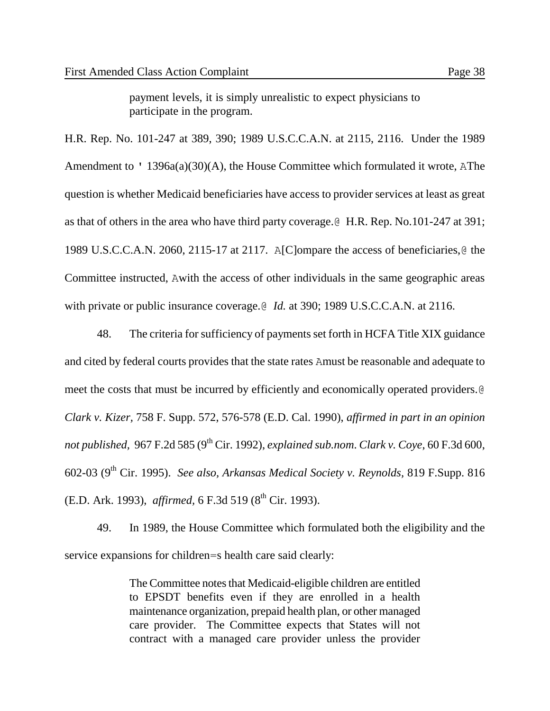payment levels, it is simply unrealistic to expect physicians to participate in the program.

H.R. Rep. No. 101-247 at 389, 390; 1989 U.S.C.C.A.N. at 2115, 2116. Under the 1989 Amendment to ' 1396a(a)(30)(A), the House Committee which formulated it wrote, AThe question is whether Medicaid beneficiaries have access to provider services at least as great as that of others in the area who have third party coverage.@ H.R. Rep. No.101-247 at 391; 1989 U.S.C.C.A.N. 2060, 2115-17 at 2117. A[C]ompare the access of beneficiaries,@ the Committee instructed, Awith the access of other individuals in the same geographic areas with private or public insurance coverage.@ *Id.* at 390; 1989 U.S.C.C.A.N. at 2116.

48. The criteria for sufficiency of payments set forth in HCFA Title XIX guidance and cited by federal courts provides that the state rates Amust be reasonable and adequate to meet the costs that must be incurred by efficiently and economically operated providers.@ *Clark v. Kizer,* 758 F. Supp. 572, 576-578 (E.D. Cal. 1990), *affirmed in part in an opinion not published,* 967 F.2d 585 (9th Cir. 1992), *explained sub.nom*. *Clark v. Coye*, 60 F.3d 600, 602-03 (9th Cir. 1995). *See also, Arkansas Medical Society v. Reynolds,* 819 F.Supp. 816 (E.D. Ark. 1993), *affirmed*, 6 F.3d 519 (8<sup>th</sup> Cir. 1993).

49. In 1989, the House Committee which formulated both the eligibility and the service expansions for children=s health care said clearly:

> The Committee notes that Medicaid-eligible children are entitled to EPSDT benefits even if they are enrolled in a health maintenance organization, prepaid health plan, or other managed care provider. The Committee expects that States will not contract with a managed care provider unless the provider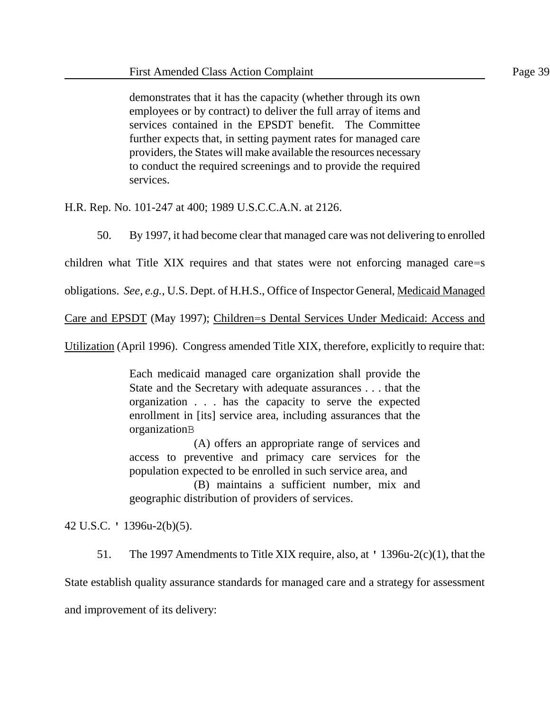demonstrates that it has the capacity (whether through its own employees or by contract) to deliver the full array of items and services contained in the EPSDT benefit. The Committee further expects that, in setting payment rates for managed care providers, the States will make available the resources necessary to conduct the required screenings and to provide the required services.

H.R. Rep. No. 101-247 at 400; 1989 U.S.C.C.A.N. at 2126.

50. By 1997, it had become clear that managed care was not delivering to enrolled

children what Title XIX requires and that states were not enforcing managed care=s

obligations. *See, e.g.*, U.S. Dept. of H.H.S., Office of Inspector General, Medicaid Managed

Care and EPSDT (May 1997); Children=s Dental Services Under Medicaid: Access and

Utilization (April 1996). Congress amended Title XIX, therefore, explicitly to require that:

Each medicaid managed care organization shall provide the State and the Secretary with adequate assurances . . . that the organization . . . has the capacity to serve the expected enrollment in [its] service area, including assurances that the organizationB

(A) offers an appropriate range of services and access to preventive and primacy care services for the population expected to be enrolled in such service area, and

(B) maintains a sufficient number, mix and geographic distribution of providers of services.

42 U.S.C. ' 1396u-2(b)(5).

51. The 1997 Amendments to Title XIX require, also, at ' 1396u-2(c)(1), that the

State establish quality assurance standards for managed care and a strategy for assessment

and improvement of its delivery: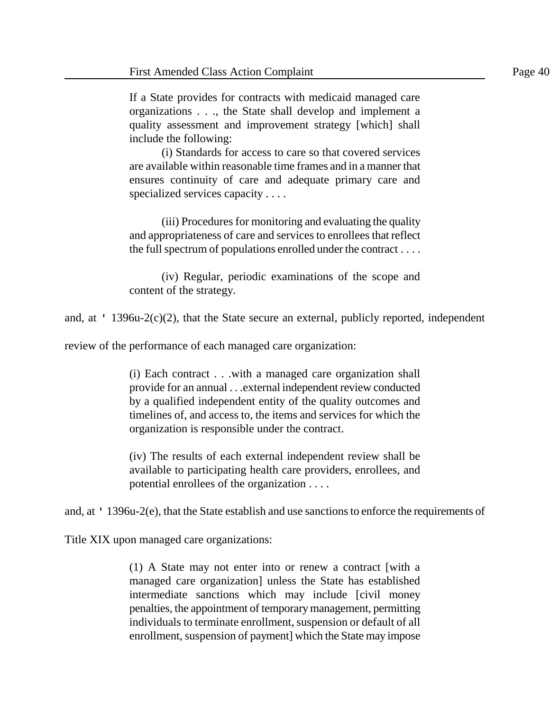If a State provides for contracts with medicaid managed care organizations . . ., the State shall develop and implement a quality assessment and improvement strategy [which] shall include the following:

(i) Standards for access to care so that covered services are available within reasonable time frames and in a manner that ensures continuity of care and adequate primary care and specialized services capacity . . . .

(iii) Procedures for monitoring and evaluating the quality and appropriateness of care and services to enrollees that reflect the full spectrum of populations enrolled under the contract . . . .

(iv) Regular, periodic examinations of the scope and content of the strategy.

and, at ' 1396u-2(c)(2), that the State secure an external, publicly reported, independent

review of the performance of each managed care organization:

(i) Each contract . . .with a managed care organization shall provide for an annual . . .external independent review conducted by a qualified independent entity of the quality outcomes and timelines of, and access to, the items and services for which the organization is responsible under the contract.

(iv) The results of each external independent review shall be available to participating health care providers, enrollees, and potential enrollees of the organization . . . .

and, at ' 1396u-2(e), that the State establish and use sanctions to enforce the requirements of

Title XIX upon managed care organizations:

(1) A State may not enter into or renew a contract [with a managed care organization] unless the State has established intermediate sanctions which may include [civil money penalties, the appointment of temporary management, permitting individuals to terminate enrollment, suspension or default of all enrollment, suspension of payment] which the State may impose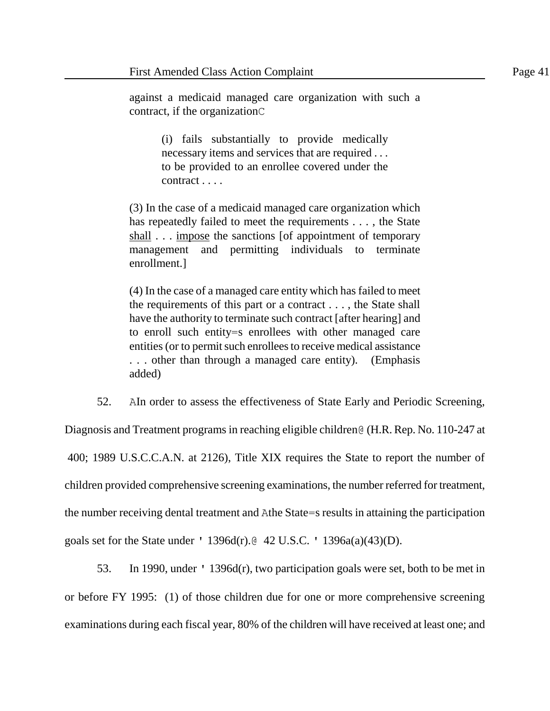against a medicaid managed care organization with such a contract, if the organizationC

> (i) fails substantially to provide medically necessary items and services that are required . . . to be provided to an enrollee covered under the contract . . . .

(3) In the case of a medicaid managed care organization which has repeatedly failed to meet the requirements . . . , the State shall . . . impose the sanctions [of appointment of temporary management and permitting individuals to terminate enrollment.]

(4) In the case of a managed care entity which has failed to meet the requirements of this part or a contract . . . , the State shall have the authority to terminate such contract [after hearing] and to enroll such entity=s enrollees with other managed care entities (or to permit such enrollees to receive medical assistance . . . other than through a managed care entity). (Emphasis added)

52. AIn order to assess the effectiveness of State Early and Periodic Screening,

Diagnosis and Treatment programs in reaching eligible children@ (H.R. Rep. No. 110-247 at 400; 1989 U.S.C.C.A.N. at 2126), Title XIX requires the State to report the number of children provided comprehensive screening examinations, the number referred for treatment, the number receiving dental treatment and Athe State=s results in attaining the participation goals set for the State under ' 1396d(r).@ 42 U.S.C. ' 1396a(a)(43)(D).

53. In 1990, under ' 1396d(r), two participation goals were set, both to be met in or before FY 1995: (1) of those children due for one or more comprehensive screening examinations during each fiscal year, 80% of the children will have received at least one; and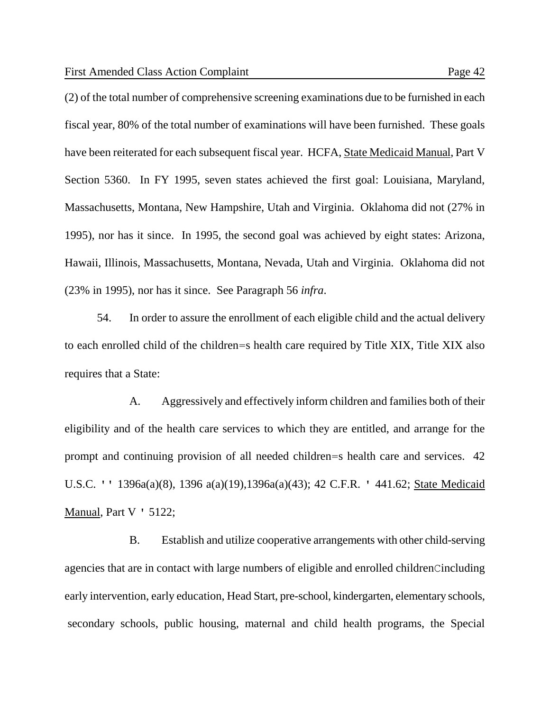(2) of the total number of comprehensive screening examinations due to be furnished in each fiscal year, 80% of the total number of examinations will have been furnished. These goals have been reiterated for each subsequent fiscal year. HCFA, State Medicaid Manual, Part V Section 5360. In FY 1995, seven states achieved the first goal: Louisiana, Maryland, Massachusetts, Montana, New Hampshire, Utah and Virginia. Oklahoma did not (27% in 1995), nor has it since. In 1995, the second goal was achieved by eight states: Arizona, Hawaii, Illinois, Massachusetts, Montana, Nevada, Utah and Virginia. Oklahoma did not (23% in 1995), nor has it since. See Paragraph 56 *infra*.

54. In order to assure the enrollment of each eligible child and the actual delivery to each enrolled child of the children=s health care required by Title XIX, Title XIX also requires that a State:

A. Aggressively and effectively inform children and families both of their eligibility and of the health care services to which they are entitled, and arrange for the prompt and continuing provision of all needed children=s health care and services. 42 U.S.C. '' 1396a(a)(8), 1396 a(a)(19),1396a(a)(43); 42 C.F.R. ' 441.62; State Medicaid Manual, Part V ' 5122;

B. Establish and utilize cooperative arrangements with other child-serving agencies that are in contact with large numbers of eligible and enrolled childrenCincluding early intervention, early education, Head Start, pre-school, kindergarten, elementary schools, secondary schools, public housing, maternal and child health programs, the Special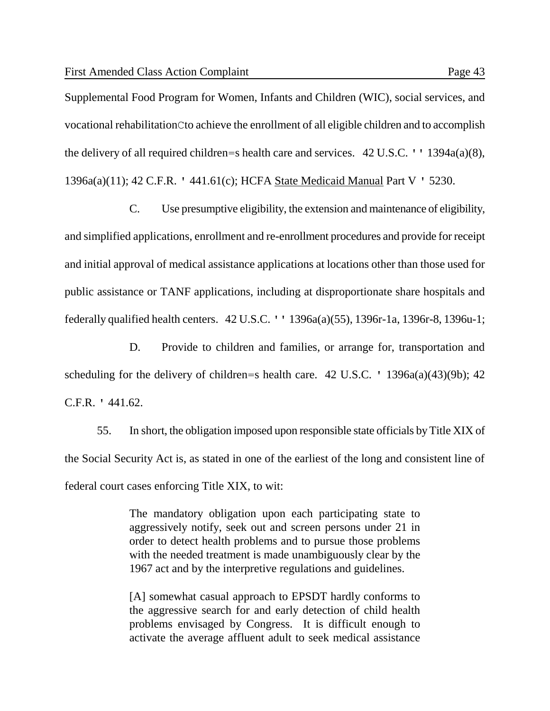Supplemental Food Program for Women, Infants and Children (WIC), social services, and vocational rehabilitationCto achieve the enrollment of all eligible children and to accomplish the delivery of all required children=s health care and services. 42 U.S.C. '' 1394a(a)(8), 1396a(a)(11); 42 C.F.R. ' 441.61(c); HCFA State Medicaid Manual Part V ' 5230.

C. Use presumptive eligibility, the extension and maintenance of eligibility, and simplified applications, enrollment and re-enrollment procedures and provide for receipt and initial approval of medical assistance applications at locations other than those used for public assistance or TANF applications, including at disproportionate share hospitals and federally qualified health centers. 42 U.S.C. '' 1396a(a)(55), 1396r-1a, 1396r-8, 1396u-1;

D. Provide to children and families, or arrange for, transportation and scheduling for the delivery of children=s health care.  $42 \text{ U.S.C.}$  '  $1396a(a)(43)(9b)$ ;  $42$ C.F.R. ' 441.62.

55. In short, the obligation imposed upon responsible state officials by Title XIX of the Social Security Act is, as stated in one of the earliest of the long and consistent line of federal court cases enforcing Title XIX, to wit:

> The mandatory obligation upon each participating state to aggressively notify, seek out and screen persons under 21 in order to detect health problems and to pursue those problems with the needed treatment is made unambiguously clear by the 1967 act and by the interpretive regulations and guidelines.

> [A] somewhat casual approach to EPSDT hardly conforms to the aggressive search for and early detection of child health problems envisaged by Congress. It is difficult enough to activate the average affluent adult to seek medical assistance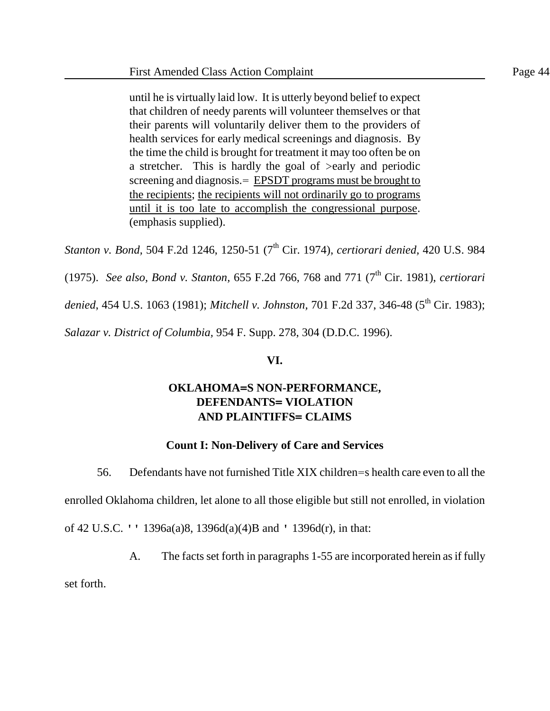until he is virtually laid low. It is utterly beyond belief to expect that children of needy parents will volunteer themselves or that their parents will voluntarily deliver them to the providers of health services for early medical screenings and diagnosis. By the time the child is brought for treatment it may too often be on a stretcher. This is hardly the goal of >early and periodic screening and diagnosis. EPSDT programs must be brought to the recipients; the recipients will not ordinarily go to programs until it is too late to accomplish the congressional purpose. (emphasis supplied).

*Stanton v. Bond,* 504 F.2d 1246, 1250-51 (7<sup>th</sup> Cir. 1974), *certiorari denied*, 420 U.S. 984

(1975). *See also, Bond v. Stanton,* 655 F.2d 766, 768 and 771 (7<sup>th</sup> Cir. 1981), *certiorari* 

denied, 454 U.S. 1063 (1981); *Mitchell v. Johnston*, 701 F.2d 337, 346-48 (5<sup>th</sup> Cir. 1983);

*Salazar v. District of Columbia,* 954 F. Supp. 278, 304 (D.D.C. 1996).

## **VI.**

# **OKLAHOMA=S NON-PERFORMANCE, DEFENDANTS= VIOLATION AND PLAINTIFFS= CLAIMS**

# **Count I: Non-Delivery of Care and Services**

56. Defendants have not furnished Title XIX children=s health care even to all the enrolled Oklahoma children, let alone to all those eligible but still not enrolled, in violation of 42 U.S.C. '' 1396a(a)8, 1396d(a)(4)B and ' 1396d(r), in that:

A. The facts set forth in paragraphs 1-55 are incorporated herein as if fully

set forth.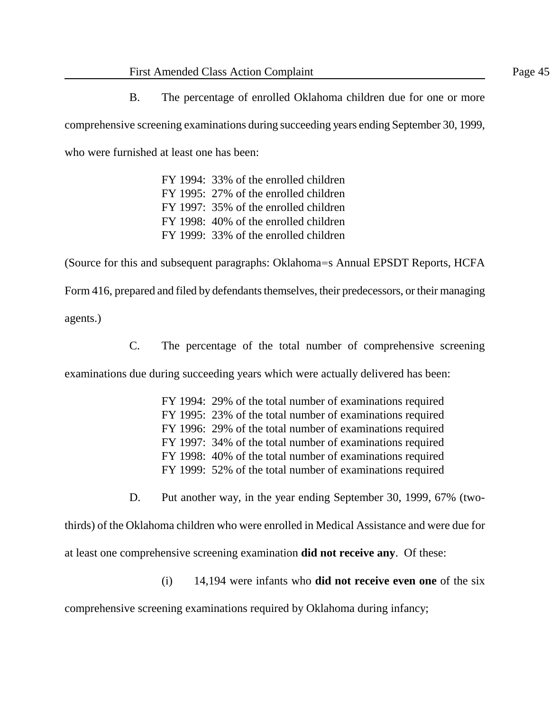B. The percentage of enrolled Oklahoma children due for one or more comprehensive screening examinations during succeeding years ending September 30, 1999, who were furnished at least one has been:

> FY 1994: 33% of the enrolled children FY 1995: 27% of the enrolled children FY 1997: 35% of the enrolled children FY 1998: 40% of the enrolled children FY 1999: 33% of the enrolled children

(Source for this and subsequent paragraphs: Oklahoma=s Annual EPSDT Reports, HCFA Form 416, prepared and filed by defendants themselves, their predecessors, or their managing

agents.)

C. The percentage of the total number of comprehensive screening

examinations due during succeeding years which were actually delivered has been:

FY 1994: 29% of the total number of examinations required FY 1995: 23% of the total number of examinations required FY 1996: 29% of the total number of examinations required FY 1997: 34% of the total number of examinations required FY 1998: 40% of the total number of examinations required FY 1999: 52% of the total number of examinations required

D. Put another way, in the year ending September 30, 1999, 67% (two-

thirds) of the Oklahoma children who were enrolled in Medical Assistance and were due for at least one comprehensive screening examination **did not receive any**. Of these:

(i) 14,194 were infants who **did not receive even one** of the six

comprehensive screening examinations required by Oklahoma during infancy;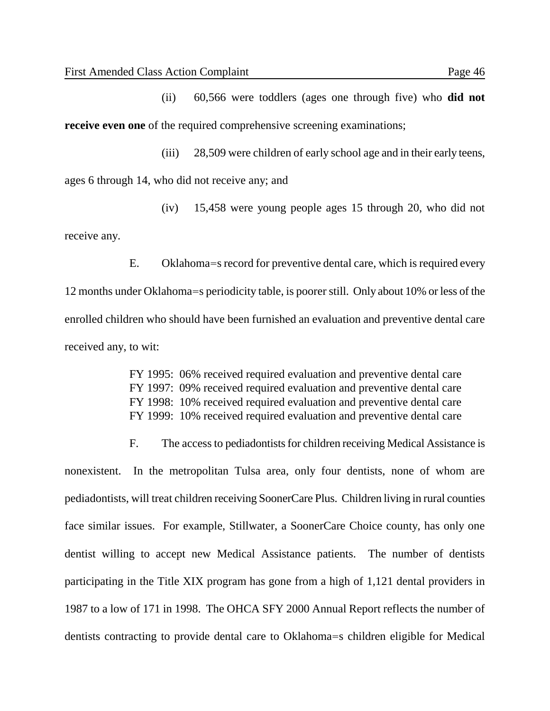(ii) 60,566 were toddlers (ages one through five) who **did not receive even one** of the required comprehensive screening examinations;

(iii) 28,509 were children of early school age and in their early teens,

ages 6 through 14, who did not receive any; and

(iv) 15,458 were young people ages 15 through 20, who did not receive any.

E. Oklahoma=s record for preventive dental care, which is required every 12 months under Oklahoma=s periodicity table, is poorer still. Only about 10% or less of the enrolled children who should have been furnished an evaluation and preventive dental care received any, to wit:

> FY 1995: 06% received required evaluation and preventive dental care FY 1997: 09% received required evaluation and preventive dental care FY 1998: 10% received required evaluation and preventive dental care FY 1999: 10% received required evaluation and preventive dental care

F. The access to pediadontists for children receiving Medical Assistance is nonexistent. In the metropolitan Tulsa area, only four dentists, none of whom are pediadontists, will treat children receiving SoonerCare Plus. Children living in rural counties face similar issues. For example, Stillwater, a SoonerCare Choice county, has only one dentist willing to accept new Medical Assistance patients. The number of dentists participating in the Title XIX program has gone from a high of 1,121 dental providers in 1987 to a low of 171 in 1998. The OHCA SFY 2000 Annual Report reflects the number of dentists contracting to provide dental care to Oklahoma=s children eligible for Medical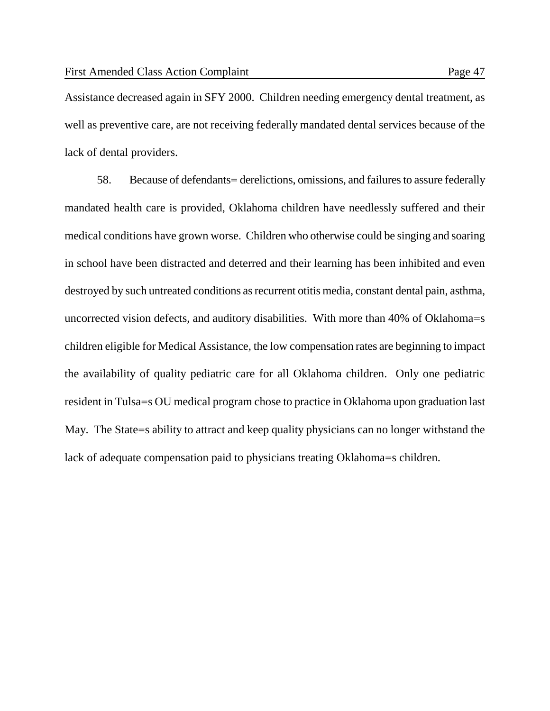Assistance decreased again in SFY 2000. Children needing emergency dental treatment, as well as preventive care, are not receiving federally mandated dental services because of the lack of dental providers.

58. Because of defendants= derelictions, omissions, and failures to assure federally mandated health care is provided, Oklahoma children have needlessly suffered and their medical conditions have grown worse. Children who otherwise could be singing and soaring in school have been distracted and deterred and their learning has been inhibited and even destroyed by such untreated conditions as recurrent otitis media, constant dental pain, asthma, uncorrected vision defects, and auditory disabilities. With more than 40% of Oklahoma=s children eligible for Medical Assistance, the low compensation rates are beginning to impact the availability of quality pediatric care for all Oklahoma children. Only one pediatric resident in Tulsa=s OU medical program chose to practice in Oklahoma upon graduation last May. The State=s ability to attract and keep quality physicians can no longer withstand the lack of adequate compensation paid to physicians treating Oklahoma=s children.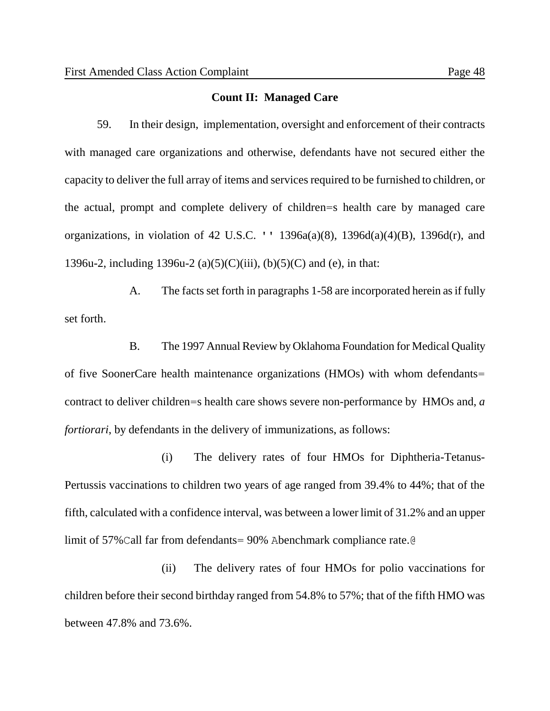#### **Count II: Managed Care**

59. In their design, implementation, oversight and enforcement of their contracts with managed care organizations and otherwise, defendants have not secured either the capacity to deliver the full array of items and services required to be furnished to children, or the actual, prompt and complete delivery of children=s health care by managed care organizations, in violation of 42 U.S.C. ''  $1396a(a)(8)$ ,  $1396d(a)(4)(B)$ ,  $1396d(r)$ , and 1396u-2, including 1396u-2 (a)(5)(C)(iii), (b)(5)(C) and (e), in that:

A. The facts set forth in paragraphs 1-58 are incorporated herein as if fully set forth.

B. The 1997 Annual Review by Oklahoma Foundation for Medical Quality of five SoonerCare health maintenance organizations (HMOs) with whom defendants= contract to deliver children=s health care shows severe non-performance by HMOs and, *a fortiorari*, by defendants in the delivery of immunizations, as follows:

(i) The delivery rates of four HMOs for Diphtheria-Tetanus-Pertussis vaccinations to children two years of age ranged from 39.4% to 44%; that of the fifth, calculated with a confidence interval, was between a lower limit of 31.2% and an upper limit of 57%Call far from defendants= 90% Abenchmark compliance rate.@

(ii) The delivery rates of four HMOs for polio vaccinations for children before their second birthday ranged from 54.8% to 57%; that of the fifth HMO was between 47.8% and 73.6%.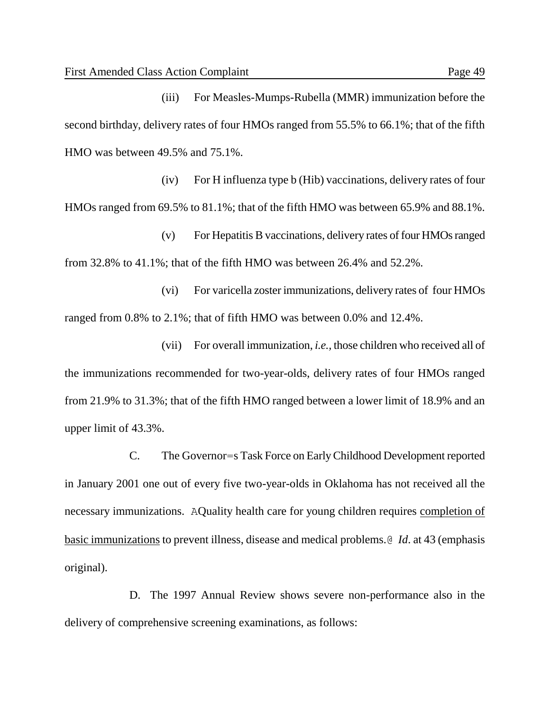(iii) For Measles-Mumps-Rubella (MMR) immunization before the second birthday, delivery rates of four HMOs ranged from 55.5% to 66.1%; that of the fifth HMO was between 49.5% and 75.1%.

(iv) For H influenza type b (Hib) vaccinations, delivery rates of four HMOs ranged from 69.5% to 81.1%; that of the fifth HMO was between 65.9% and 88.1%.

(v) For Hepatitis B vaccinations, delivery rates of four HMOs ranged from 32.8% to 41.1%; that of the fifth HMO was between 26.4% and 52.2%.

(vi) For varicella zoster immunizations, delivery rates of four HMOs ranged from 0.8% to 2.1%; that of fifth HMO was between 0.0% and 12.4%.

(vii) For overall immunization, *i.e.,* those children who received all of the immunizations recommended for two-year-olds, delivery rates of four HMOs ranged from 21.9% to 31.3%; that of the fifth HMO ranged between a lower limit of 18.9% and an upper limit of 43.3%.

C. The Governor=s Task Force on Early Childhood Development reported in January 2001 one out of every five two-year-olds in Oklahoma has not received all the necessary immunizations. AQuality health care for young children requires completion of basic immunizations to prevent illness, disease and medical problems.@ *Id*. at 43 (emphasis original).

D. The 1997 Annual Review shows severe non-performance also in the delivery of comprehensive screening examinations, as follows: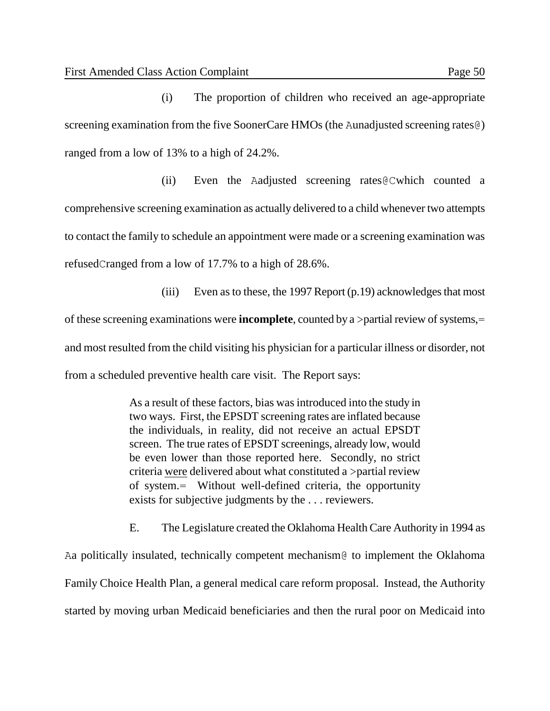(i) The proportion of children who received an age-appropriate screening examination from the five SoonerCare HMOs (the Aunadjusted screening rates  $\theta$ ) ranged from a low of 13% to a high of 24.2%.

(ii) Even the Aadjusted screening rates@Cwhich counted a comprehensive screening examination as actually delivered to a child whenever two attempts to contact the family to schedule an appointment were made or a screening examination was refusedCranged from a low of 17.7% to a high of 28.6%.

(iii) Even as to these, the 1997 Report (p.19) acknowledges that most of these screening examinations were **incomplete**, counted by a >partial review of systems,= and most resulted from the child visiting his physician for a particular illness or disorder, not from a scheduled preventive health care visit. The Report says:

> As a result of these factors, bias was introduced into the study in two ways. First, the EPSDT screening rates are inflated because the individuals, in reality, did not receive an actual EPSDT screen. The true rates of EPSDT screenings, already low, would be even lower than those reported here. Secondly, no strict criteria were delivered about what constituted a >partial review of system.= Without well-defined criteria, the opportunity exists for subjective judgments by the . . . reviewers.

E. The Legislature created the Oklahoma Health Care Authority in 1994 as Aa politically insulated, technically competent mechanism@ to implement the Oklahoma Family Choice Health Plan, a general medical care reform proposal. Instead, the Authority started by moving urban Medicaid beneficiaries and then the rural poor on Medicaid into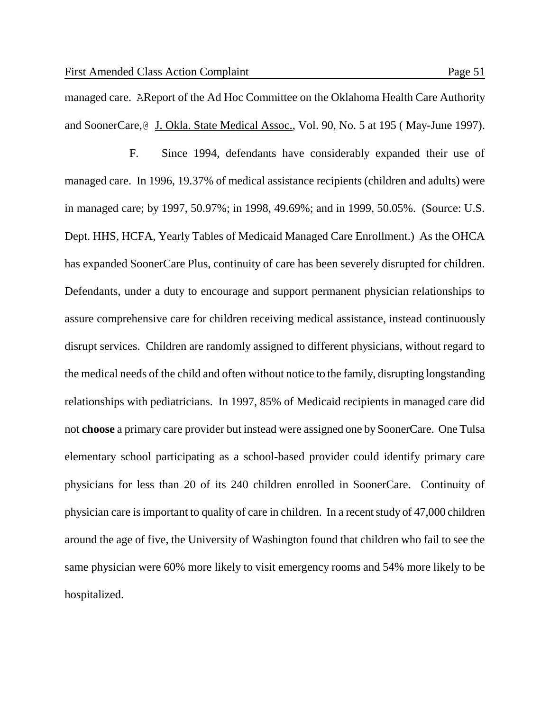managed care. AReport of the Ad Hoc Committee on the Oklahoma Health Care Authority

and SoonerCare, **J. Okla. State Medical Assoc.**, Vol. 90, No. 5 at 195 (May-June 1997).

F. Since 1994, defendants have considerably expanded their use of managed care. In 1996, 19.37% of medical assistance recipients (children and adults) were in managed care; by 1997, 50.97%; in 1998, 49.69%; and in 1999, 50.05%. (Source: U.S. Dept. HHS, HCFA, Yearly Tables of Medicaid Managed Care Enrollment.) As the OHCA has expanded SoonerCare Plus, continuity of care has been severely disrupted for children. Defendants, under a duty to encourage and support permanent physician relationships to assure comprehensive care for children receiving medical assistance, instead continuously disrupt services. Children are randomly assigned to different physicians, without regard to the medical needs of the child and often without notice to the family, disrupting longstanding relationships with pediatricians. In 1997, 85% of Medicaid recipients in managed care did not **choose** a primary care provider but instead were assigned one by SoonerCare. One Tulsa elementary school participating as a school-based provider could identify primary care physicians for less than 20 of its 240 children enrolled in SoonerCare. Continuity of physician care is important to quality of care in children. In a recent study of 47,000 children around the age of five, the University of Washington found that children who fail to see the same physician were 60% more likely to visit emergency rooms and 54% more likely to be hospitalized.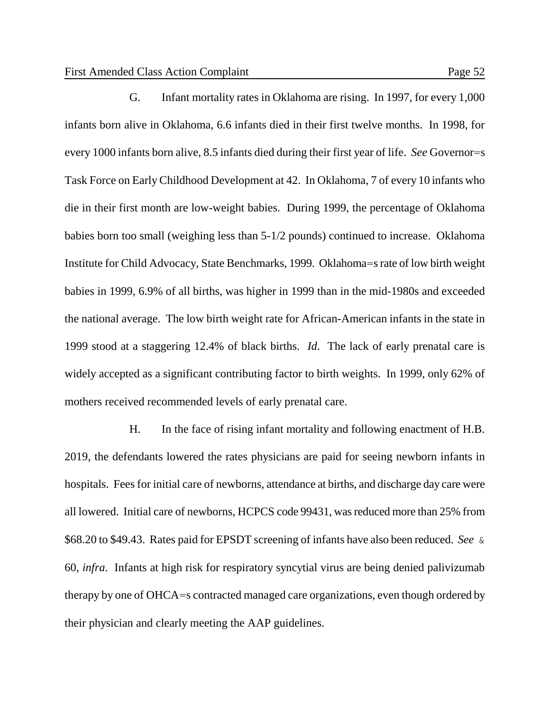G. Infant mortality rates in Oklahoma are rising. In 1997, for every 1,000 infants born alive in Oklahoma, 6.6 infants died in their first twelve months. In 1998, for every 1000 infants born alive, 8.5 infants died during their first year of life. *See* Governor=s Task Force on Early Childhood Development at 42. In Oklahoma, 7 of every 10 infants who die in their first month are low-weight babies. During 1999, the percentage of Oklahoma babies born too small (weighing less than 5-1/2 pounds) continued to increase. Oklahoma Institute for Child Advocacy, State Benchmarks, 1999. Oklahoma=s rate of low birth weight babies in 1999, 6.9% of all births, was higher in 1999 than in the mid-1980s and exceeded the national average. The low birth weight rate for African-American infants in the state in 1999 stood at a staggering 12.4% of black births. *Id*. The lack of early prenatal care is widely accepted as a significant contributing factor to birth weights. In 1999, only 62% of mothers received recommended levels of early prenatal care.

H. In the face of rising infant mortality and following enactment of H.B. 2019, the defendants lowered the rates physicians are paid for seeing newborn infants in hospitals. Fees for initial care of newborns, attendance at births, and discharge day care were all lowered. Initial care of newborns, HCPCS code 99431, was reduced more than 25% from \$68.20 to \$49.43. Rates paid for EPSDT screening of infants have also been reduced. *See* & 60, *infra*. Infants at high risk for respiratory syncytial virus are being denied palivizumab therapy by one of OHCA=s contracted managed care organizations, even though ordered by their physician and clearly meeting the AAP guidelines.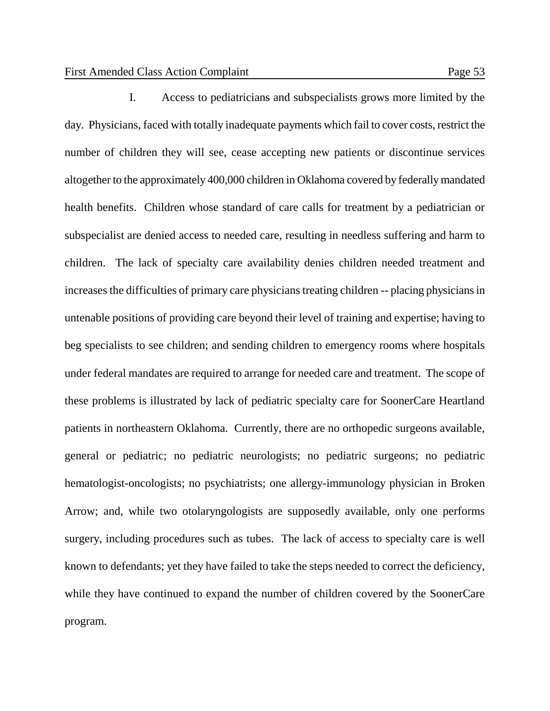I. Access to pediatricians and subspecialists grows more limited by the day. Physicians, faced with totally inadequate payments which fail to cover costs, restrict the number of children they will see, cease accepting new patients or discontinue services altogether to the approximately 400,000 children in Oklahoma covered by federally mandated health benefits. Children whose standard of care calls for treatment by a pediatrician or subspecialist are denied access to needed care, resulting in needless suffering and harm to children. The lack of specialty care availability denies children needed treatment and increases the difficulties of primary care physicians treating children -- placing physicians in untenable positions of providing care beyond their level of training and expertise; having to beg specialists to see children; and sending children to emergency rooms where hospitals under federal mandates are required to arrange for needed care and treatment. The scope of these problems is illustrated by lack of pediatric specialty care for SoonerCare Heartland patients in northeastern Oklahoma. Currently, there are no orthopedic surgeons available, general or pediatric; no pediatric neurologists; no pediatric surgeons; no pediatric hematologist-oncologists; no psychiatrists; one allergy-immunology physician in Broken Arrow; and, while two otolaryngologists are supposedly available, only one performs surgery, including procedures such as tubes. The lack of access to specialty care is well known to defendants; yet they have failed to take the steps needed to correct the deficiency, while they have continued to expand the number of children covered by the SoonerCare program.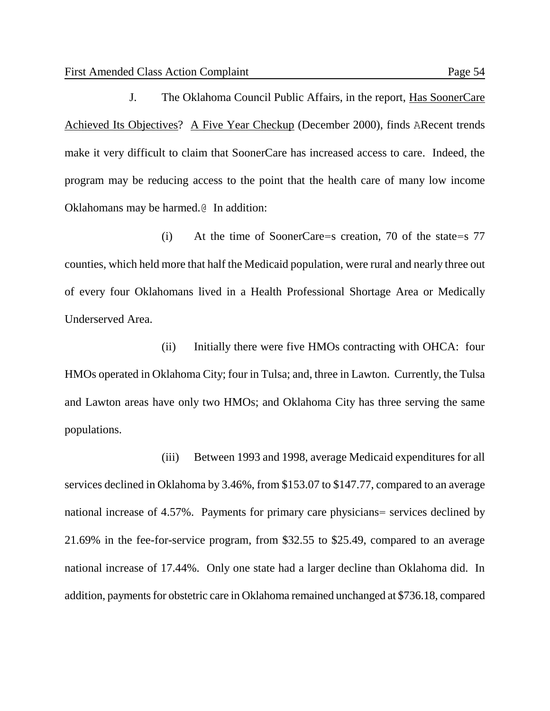J. The Oklahoma Council Public Affairs, in the report, Has SoonerCare Achieved Its Objectives? A Five Year Checkup (December 2000), finds ARecent trends make it very difficult to claim that SoonerCare has increased access to care. Indeed, the program may be reducing access to the point that the health care of many low income Oklahomans may be harmed.@ In addition:

(i) At the time of SoonerCare=s creation, 70 of the state=s 77 counties, which held more that half the Medicaid population, were rural and nearly three out of every four Oklahomans lived in a Health Professional Shortage Area or Medically Underserved Area.

(ii) Initially there were five HMOs contracting with OHCA: four HMOs operated in Oklahoma City; four in Tulsa; and, three in Lawton. Currently, the Tulsa and Lawton areas have only two HMOs; and Oklahoma City has three serving the same populations.

(iii) Between 1993 and 1998, average Medicaid expenditures for all services declined in Oklahoma by 3.46%, from \$153.07 to \$147.77, compared to an average national increase of 4.57%. Payments for primary care physicians= services declined by 21.69% in the fee-for-service program, from \$32.55 to \$25.49, compared to an average national increase of 17.44%. Only one state had a larger decline than Oklahoma did. In addition, payments for obstetric care in Oklahoma remained unchanged at \$736.18, compared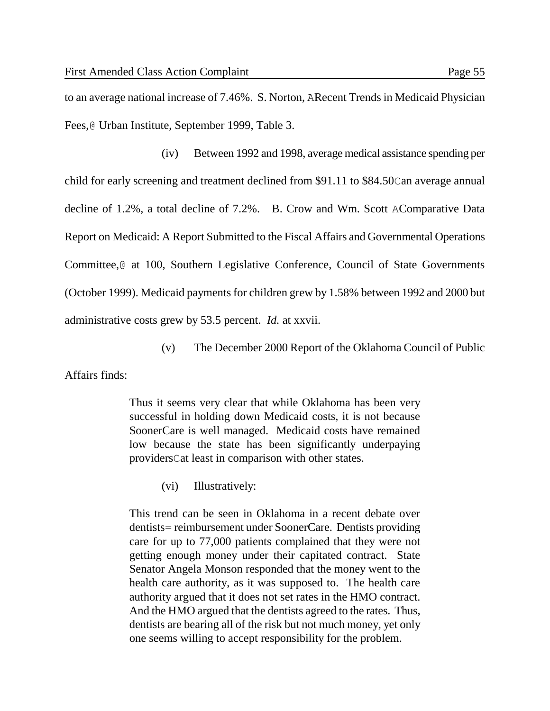to an average national increase of 7.46%. S. Norton, ARecent Trends in Medicaid Physician Fees,@ Urban Institute, September 1999, Table 3.

(iv) Between 1992 and 1998, average medical assistance spending per child for early screening and treatment declined from \$91.11 to \$84.50Can average annual decline of 1.2%, a total decline of 7.2%. B. Crow and Wm. Scott AComparative Data Report on Medicaid: A Report Submitted to the Fiscal Affairs and Governmental Operations Committee,@ at 100, Southern Legislative Conference, Council of State Governments (October 1999). Medicaid payments for children grew by 1.58% between 1992 and 2000 but administrative costs grew by 53.5 percent. *Id.* at xxvii.

(v) The December 2000 Report of the Oklahoma Council of Public

Affairs finds:

Thus it seems very clear that while Oklahoma has been very successful in holding down Medicaid costs, it is not because SoonerCare is well managed. Medicaid costs have remained low because the state has been significantly underpaying providersCat least in comparison with other states.

(vi) Illustratively:

This trend can be seen in Oklahoma in a recent debate over dentists= reimbursement under SoonerCare. Dentists providing care for up to 77,000 patients complained that they were not getting enough money under their capitated contract. State Senator Angela Monson responded that the money went to the health care authority, as it was supposed to. The health care authority argued that it does not set rates in the HMO contract. And the HMO argued that the dentists agreed to the rates. Thus, dentists are bearing all of the risk but not much money, yet only one seems willing to accept responsibility for the problem.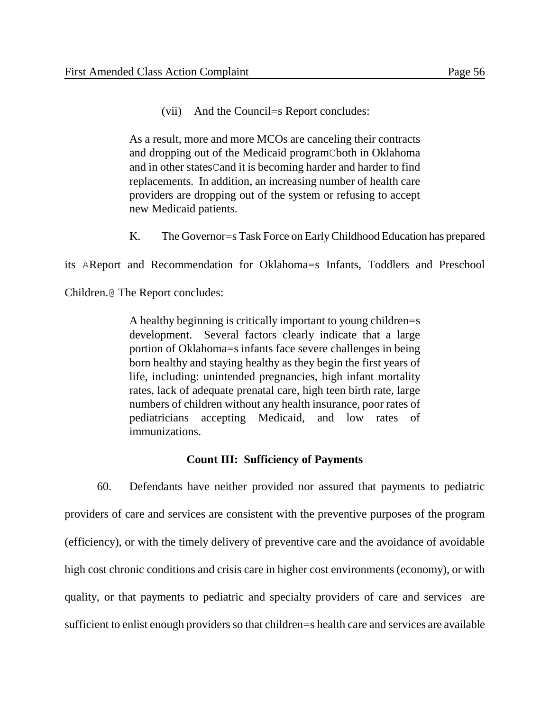(vii) And the Council=s Report concludes:

As a result, more and more MCOs are canceling their contracts and dropping out of the Medicaid programCboth in Oklahoma and in other statesCand it is becoming harder and harder to find replacements. In addition, an increasing number of health care providers are dropping out of the system or refusing to accept new Medicaid patients.

K. The Governor=s Task Force on Early Childhood Education has prepared

its AReport and Recommendation for Oklahoma=s Infants, Toddlers and Preschool

Children.@ The Report concludes:

A healthy beginning is critically important to young children=s development. Several factors clearly indicate that a large portion of Oklahoma=s infants face severe challenges in being born healthy and staying healthy as they begin the first years of life, including: unintended pregnancies, high infant mortality rates, lack of adequate prenatal care, high teen birth rate, large numbers of children without any health insurance, poor rates of pediatricians accepting Medicaid, and low rates of immunizations.

### **Count III: Sufficiency of Payments**

60. Defendants have neither provided nor assured that payments to pediatric providers of care and services are consistent with the preventive purposes of the program (efficiency), or with the timely delivery of preventive care and the avoidance of avoidable high cost chronic conditions and crisis care in higher cost environments (economy), or with quality, or that payments to pediatric and specialty providers of care and services are sufficient to enlist enough providers so that children=s health care and services are available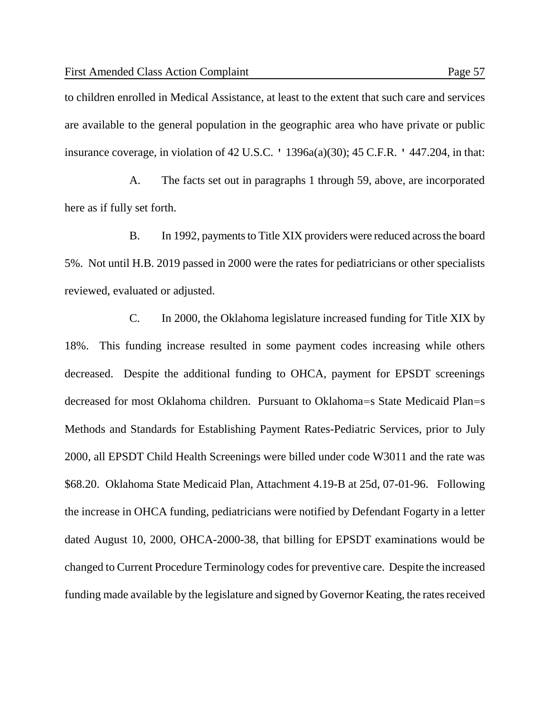insurance coverage, in violation of 42 U.S.C. ' 1396a(a)(30); 45 C.F.R. ' 447.204, in that:

A. The facts set out in paragraphs 1 through 59, above, are incorporated here as if fully set forth.

B. In 1992, payments to Title XIX providers were reduced across the board 5%. Not until H.B. 2019 passed in 2000 were the rates for pediatricians or other specialists reviewed, evaluated or adjusted.

C. In 2000, the Oklahoma legislature increased funding for Title XIX by 18%. This funding increase resulted in some payment codes increasing while others decreased. Despite the additional funding to OHCA, payment for EPSDT screenings decreased for most Oklahoma children. Pursuant to Oklahoma=s State Medicaid Plan=s Methods and Standards for Establishing Payment Rates-Pediatric Services, prior to July 2000, all EPSDT Child Health Screenings were billed under code W3011 and the rate was \$68.20. Oklahoma State Medicaid Plan, Attachment 4.19-B at 25d, 07-01-96. Following the increase in OHCA funding, pediatricians were notified by Defendant Fogarty in a letter dated August 10, 2000, OHCA-2000-38, that billing for EPSDT examinations would be changed to Current Procedure Terminology codes for preventive care. Despite the increased funding made available by the legislature and signed by Governor Keating, the rates received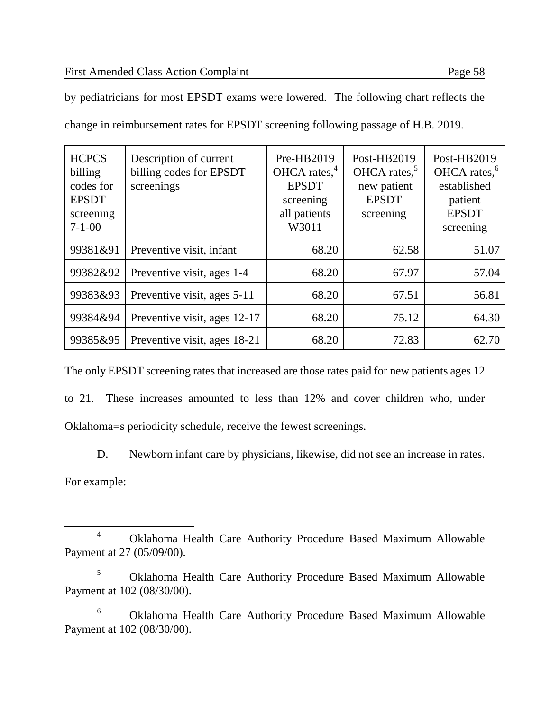$\overline{a}$ 

**HCPCS** billing codes for EPSDT screening 7-1-00 Description of current billing codes for EPSDT screenings Pre-HB2019 OHCA rates,<sup>4</sup> EPSDT screening all patients W3011 Post-HB2019 OHCA rates, $5$ new patient EPSDT screening Post-HB2019 OHCA rates,<sup>6</sup> established patient EPSDT screening 99381&91 Preventive visit, infant 68.20 62.58 51.07 99382&92 Preventive visit, ages 1-4 68.20 67.97 67.97 99383&93 Preventive visit, ages 5-11 68.20 67.51 67.51 99384&94 Preventive visit, ages 12-17 68.20 75.12 64.30 99385&95 | Preventive visit, ages 18-21 | 68.20 | 72.83 | 62.70

by pediatricians for most EPSDT exams were lowered. The following chart reflects the

change in reimbursement rates for EPSDT screening following passage of H.B. 2019.

The only EPSDT screening rates that increased are those rates paid for new patients ages 12 to 21. These increases amounted to less than 12% and cover children who, under Oklahoma=s periodicity schedule, receive the fewest screenings.

D. Newborn infant care by physicians, likewise, did not see an increase in rates. For example:

<sup>4</sup> Oklahoma Health Care Authority Procedure Based Maximum Allowable Payment at 27 (05/09/00).

<sup>5</sup> Oklahoma Health Care Authority Procedure Based Maximum Allowable Payment at 102 (08/30/00).

<sup>6</sup> Oklahoma Health Care Authority Procedure Based Maximum Allowable Payment at 102 (08/30/00).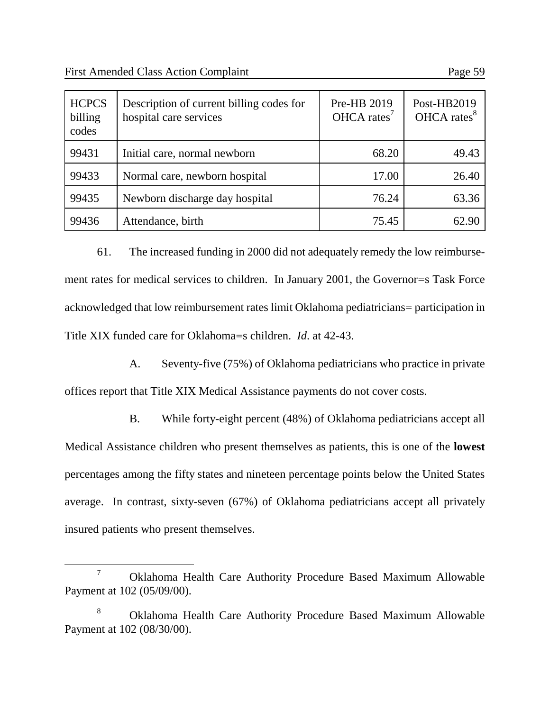$\overline{a}$ 

| <b>HCPCS</b><br>billing<br>codes | Description of current billing codes for<br>hospital care services | Pre-HB 2019<br>$OHCA \; \text{rates}^7$ | Post-HB2019<br>OHCA rates <sup>8</sup> |
|----------------------------------|--------------------------------------------------------------------|-----------------------------------------|----------------------------------------|
| 99431                            | Initial care, normal newborn                                       | 68.20                                   | 49.43                                  |
| 99433                            | Normal care, newborn hospital                                      | 17.00                                   | 26.40                                  |
| 99435                            | Newborn discharge day hospital                                     | 76.24                                   | 63.36                                  |
| 99436                            | Attendance, birth                                                  | 75.45                                   | 62.90                                  |

61. The increased funding in 2000 did not adequately remedy the low reimbursement rates for medical services to children. In January 2001, the Governor=s Task Force acknowledged that low reimbursement rates limit Oklahoma pediatricians= participation in Title XIX funded care for Oklahoma=s children. *Id*. at 42-43.

A. Seventy-five (75%) of Oklahoma pediatricians who practice in private offices report that Title XIX Medical Assistance payments do not cover costs.

B. While forty-eight percent (48%) of Oklahoma pediatricians accept all Medical Assistance children who present themselves as patients, this is one of the **lowest** percentages among the fifty states and nineteen percentage points below the United States average. In contrast, sixty-seven (67%) of Oklahoma pediatricians accept all privately insured patients who present themselves.

<sup>7</sup> Oklahoma Health Care Authority Procedure Based Maximum Allowable Payment at 102 (05/09/00).

<sup>8</sup> Oklahoma Health Care Authority Procedure Based Maximum Allowable Payment at 102 (08/30/00).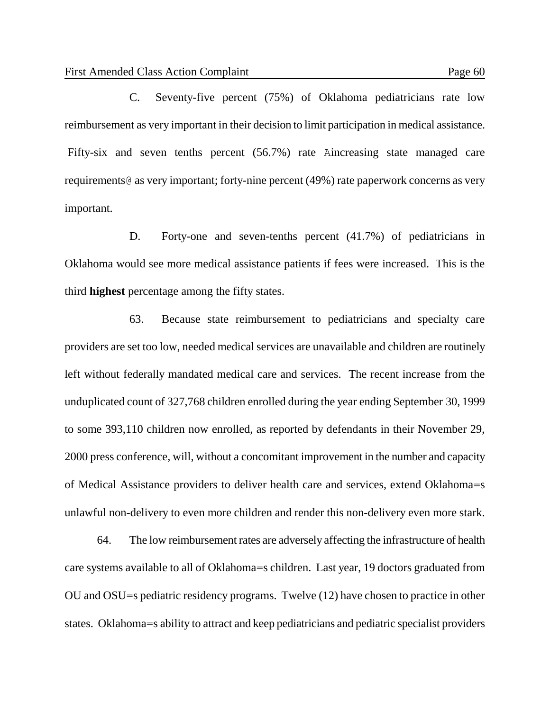C. Seventy-five percent (75%) of Oklahoma pediatricians rate low reimbursement as very important in their decision to limit participation in medical assistance. Fifty-six and seven tenths percent (56.7%) rate Aincreasing state managed care requirements@ as very important; forty-nine percent (49%) rate paperwork concerns as very important.

D. Forty-one and seven-tenths percent (41.7%) of pediatricians in Oklahoma would see more medical assistance patients if fees were increased. This is the third **highest** percentage among the fifty states.

63. Because state reimbursement to pediatricians and specialty care providers are set too low, needed medical services are unavailable and children are routinely left without federally mandated medical care and services. The recent increase from the unduplicated count of 327,768 children enrolled during the year ending September 30, 1999 to some 393,110 children now enrolled, as reported by defendants in their November 29, 2000 press conference, will, without a concomitant improvement in the number and capacity of Medical Assistance providers to deliver health care and services, extend Oklahoma=s unlawful non-delivery to even more children and render this non-delivery even more stark.

64. The low reimbursement rates are adversely affecting the infrastructure of health care systems available to all of Oklahoma=s children. Last year, 19 doctors graduated from OU and OSU=s pediatric residency programs. Twelve (12) have chosen to practice in other states. Oklahoma=s ability to attract and keep pediatricians and pediatric specialist providers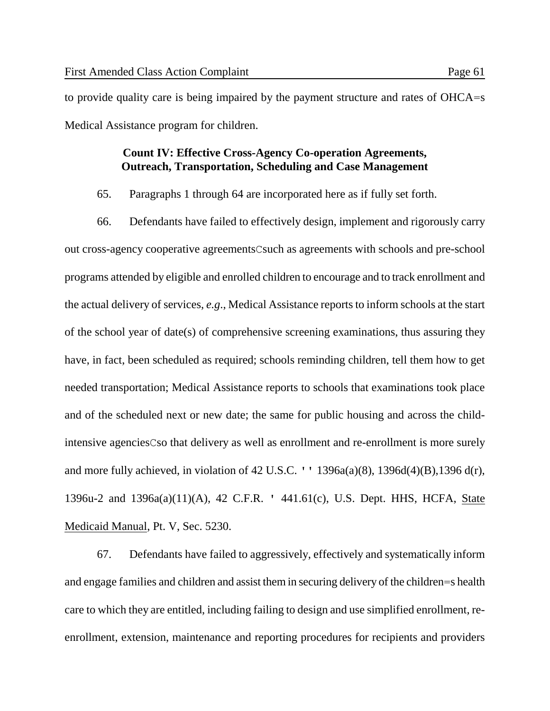to provide quality care is being impaired by the payment structure and rates of OHCA=s Medical Assistance program for children.

## **Count IV: Effective Cross-Agency Co-operation Agreements, Outreach, Transportation, Scheduling and Case Management**

65. Paragraphs 1 through 64 are incorporated here as if fully set forth.

66. Defendants have failed to effectively design, implement and rigorously carry out cross-agency cooperative agreementsCsuch as agreements with schools and pre-school programs attended by eligible and enrolled children to encourage and to track enrollment and the actual delivery of services, *e.g*., Medical Assistance reports to inform schools at the start of the school year of date(s) of comprehensive screening examinations, thus assuring they have, in fact, been scheduled as required; schools reminding children, tell them how to get needed transportation; Medical Assistance reports to schools that examinations took place and of the scheduled next or new date; the same for public housing and across the childintensive agenciesCso that delivery as well as enrollment and re-enrollment is more surely and more fully achieved, in violation of 42 U.S.C. '' 1396a(a)(8), 1396d(4)(B),1396 d(r), 1396u-2 and 1396a(a)(11)(A), 42 C.F.R. ' 441.61(c), U.S. Dept. HHS, HCFA, State Medicaid Manual, Pt. V, Sec. 5230.

67. Defendants have failed to aggressively, effectively and systematically inform and engage families and children and assist them in securing delivery of the children=s health care to which they are entitled, including failing to design and use simplified enrollment, reenrollment, extension, maintenance and reporting procedures for recipients and providers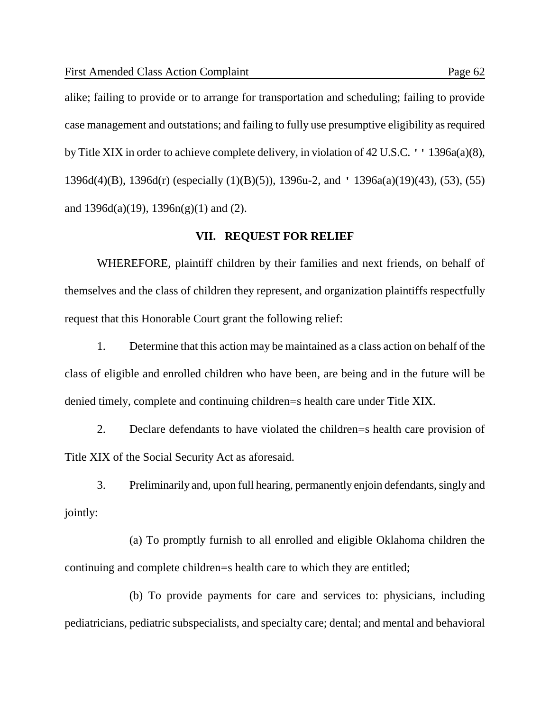alike; failing to provide or to arrange for transportation and scheduling; failing to provide case management and outstations; and failing to fully use presumptive eligibility as required by Title XIX in order to achieve complete delivery, in violation of 42 U.S.C. '' 1396a(a)(8), 1396d(4)(B), 1396d(r) (especially (1)(B)(5)), 1396u-2, and ' 1396a(a)(19)(43), (53), (55) and  $1396d(a)(19)$ ,  $1396n(g)(1)$  and (2).

## **VII. REQUEST FOR RELIEF**

WHEREFORE, plaintiff children by their families and next friends, on behalf of themselves and the class of children they represent, and organization plaintiffs respectfully request that this Honorable Court grant the following relief:

1. Determine that this action may be maintained as a class action on behalf of the class of eligible and enrolled children who have been, are being and in the future will be denied timely, complete and continuing children=s health care under Title XIX.

2. Declare defendants to have violated the children=s health care provision of Title XIX of the Social Security Act as aforesaid.

3. Preliminarily and, upon full hearing, permanently enjoin defendants, singly and jointly:

(a) To promptly furnish to all enrolled and eligible Oklahoma children the continuing and complete children=s health care to which they are entitled;

(b) To provide payments for care and services to: physicians, including pediatricians, pediatric subspecialists, and specialty care; dental; and mental and behavioral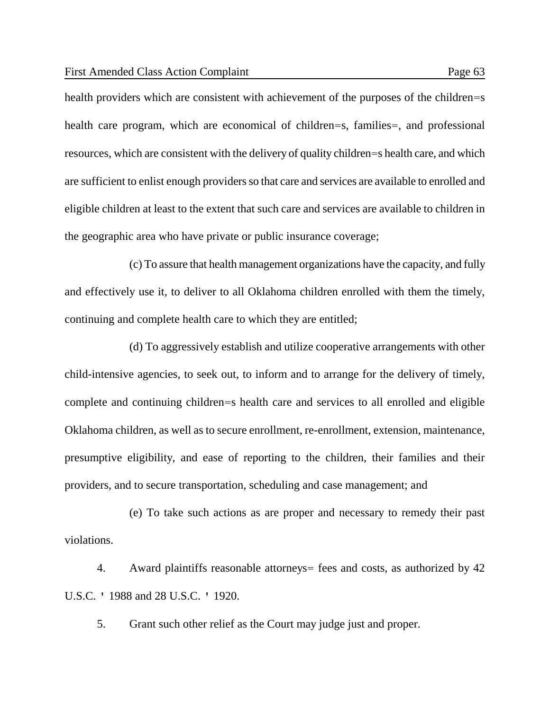health providers which are consistent with achievement of the purposes of the children=s health care program, which are economical of children=s, families=, and professional resources, which are consistent with the delivery of quality children=s health care, and which are sufficient to enlist enough providers so that care and services are available to enrolled and eligible children at least to the extent that such care and services are available to children in the geographic area who have private or public insurance coverage;

(c) To assure that health management organizations have the capacity, and fully and effectively use it, to deliver to all Oklahoma children enrolled with them the timely, continuing and complete health care to which they are entitled;

(d) To aggressively establish and utilize cooperative arrangements with other child-intensive agencies, to seek out, to inform and to arrange for the delivery of timely, complete and continuing children=s health care and services to all enrolled and eligible Oklahoma children, as well as to secure enrollment, re-enrollment, extension, maintenance, presumptive eligibility, and ease of reporting to the children, their families and their providers, and to secure transportation, scheduling and case management; and

(e) To take such actions as are proper and necessary to remedy their past violations.

4. Award plaintiffs reasonable attorneys= fees and costs, as authorized by 42 U.S.C. ' 1988 and 28 U.S.C. ' 1920.

5. Grant such other relief as the Court may judge just and proper.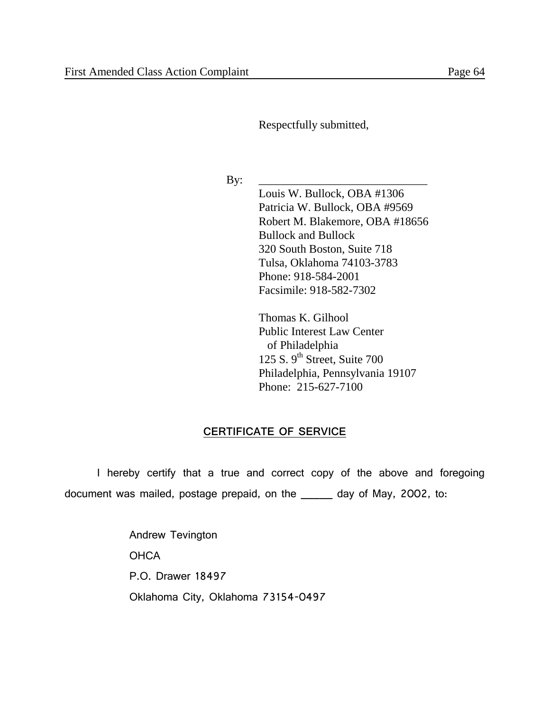Respectfully submitted,

By: \_\_\_\_\_\_\_\_\_\_\_\_\_\_\_\_\_\_\_\_\_\_\_\_\_\_\_\_\_

Louis W. Bullock, OBA #1306 Patricia W. Bullock, OBA #9569 Robert M. Blakemore, OBA #18656 Bullock and Bullock 320 South Boston, Suite 718 Tulsa, Oklahoma 74103-3783 Phone: 918-584-2001 Facsimile: 918-582-7302

Thomas K. Gilhool Public Interest Law Center of Philadelphia 125 S.  $9<sup>th</sup>$  Street, Suite 700 Philadelphia, Pennsylvania 19107 Phone: 215-627-7100

# **CERTIFICATE OF SERVICE**

I hereby certify that a true and correct copy of the above and foregoing document was mailed, postage prepaid, on the \_\_\_\_\_ day of May, 2002, to:

> Andrew Tevington **OHCA** P.O. Drawer 18497 Oklahoma City, Oklahoma 73154-0497